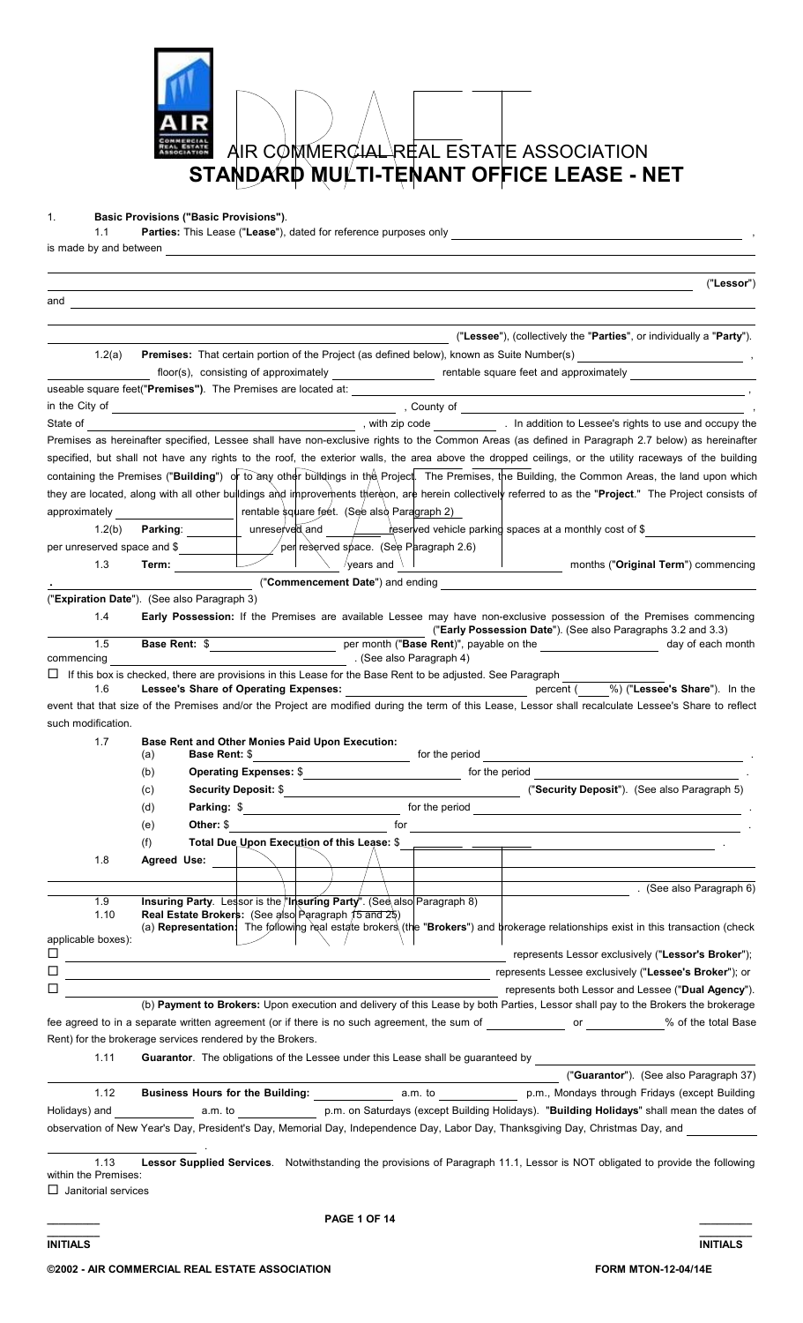

# 1. **Basic Provisions ("Basic Provisions")**.

1.1 **Parties:** This Lease ("**Lease**"), dated for reference purposes only ,

|                    |                                                               |                                                                                                                                                                                                                                |                                                                                                                                |                | ("Lessor")                                                                                                                                                                                                                                                                                                                                                                                                                |
|--------------------|---------------------------------------------------------------|--------------------------------------------------------------------------------------------------------------------------------------------------------------------------------------------------------------------------------|--------------------------------------------------------------------------------------------------------------------------------|----------------|---------------------------------------------------------------------------------------------------------------------------------------------------------------------------------------------------------------------------------------------------------------------------------------------------------------------------------------------------------------------------------------------------------------------------|
| and                |                                                               |                                                                                                                                                                                                                                |                                                                                                                                |                |                                                                                                                                                                                                                                                                                                                                                                                                                           |
|                    |                                                               |                                                                                                                                                                                                                                |                                                                                                                                |                | ("Lessee"), (collectively the "Parties", or individually a "Party").                                                                                                                                                                                                                                                                                                                                                      |
|                    |                                                               |                                                                                                                                                                                                                                |                                                                                                                                |                |                                                                                                                                                                                                                                                                                                                                                                                                                           |
|                    |                                                               |                                                                                                                                                                                                                                |                                                                                                                                |                | 1.2(a) Premises: That certain portion of the Project (as defined below), known as Suite Number(s)                                                                                                                                                                                                                                                                                                                         |
|                    | useable square feet("Premises"). The Premises are located at: |                                                                                                                                                                                                                                |                                                                                                                                |                |                                                                                                                                                                                                                                                                                                                                                                                                                           |
|                    |                                                               |                                                                                                                                                                                                                                |                                                                                                                                |                | in the City of the City of the City of the City of the City of the City of the City of the City of the City of the City of the City of the City of the City of the City of the City of the City of the City of the City of the                                                                                                                                                                                            |
| State of           |                                                               |                                                                                                                                                                                                                                |                                                                                                                                |                |                                                                                                                                                                                                                                                                                                                                                                                                                           |
|                    |                                                               |                                                                                                                                                                                                                                |                                                                                                                                |                | Premises as hereinafter specified, Lessee shall have non-exclusive rights to the Common Areas (as defined in Paragraph 2.7 below) as hereinafter                                                                                                                                                                                                                                                                          |
|                    |                                                               |                                                                                                                                                                                                                                |                                                                                                                                |                | specified, but shall not have any rights to the roof, the exterior walls, the area above the dropped ceilings, or the utility raceways of the building                                                                                                                                                                                                                                                                    |
|                    |                                                               |                                                                                                                                                                                                                                |                                                                                                                                |                | containing the Premises ("Building") or to any other buildings in the Project. The Premises, the Building, the Common Areas, the land upon which                                                                                                                                                                                                                                                                          |
|                    |                                                               |                                                                                                                                                                                                                                |                                                                                                                                |                | they are located, along with all other buildings and improvements thereon, are herein collectively referred to as the "Project." The Project consists of                                                                                                                                                                                                                                                                  |
|                    | approximately _______________________                         |                                                                                                                                                                                                                                | rentable square feet. (See also Paragraph 2)                                                                                   |                |                                                                                                                                                                                                                                                                                                                                                                                                                           |
| 1.2(b)             | Parking:                                                      |                                                                                                                                                                                                                                |                                                                                                                                |                | $\parallel$ unreserved and $\perp$ reserved vehicle parking spaces at a monthly cost of \$                                                                                                                                                                                                                                                                                                                                |
|                    | per unreserved space and \$                                   |                                                                                                                                                                                                                                | per reserved space. (See Paragraph 2.6)                                                                                        |                |                                                                                                                                                                                                                                                                                                                                                                                                                           |
| 1.3                | Term:                                                         |                                                                                                                                                                                                                                |                                                                                                                                |                | $\setminus$ $\hspace{0.1cm}$ $\hspace{0.1cm}$ $\hspace{0.1cm}$ $\hspace{0.1cm}$ $\hspace{0.1cm}$ $\hspace{0.1cm}$ $\hspace{0.1cm}$ $\hspace{0.1cm}$ $\hspace{0.1cm}$ $\hspace{0.1cm}$ $\hspace{0.1cm}$ $\hspace{0.1cm}$ $\hspace{0.1cm}$ $\hspace{0.1cm}$ $\hspace{0.1cm}$ $\hspace{0.1cm}$ $\hspace{0.1cm}$ $\hspace{0.1cm}$                                                                                             |
|                    |                                                               |                                                                                                                                                                                                                                | ("Commencement Date") and ending                                                                                               |                |                                                                                                                                                                                                                                                                                                                                                                                                                           |
|                    | ("Expiration Date"). (See also Paragraph 3)                   |                                                                                                                                                                                                                                |                                                                                                                                |                |                                                                                                                                                                                                                                                                                                                                                                                                                           |
| 1.4                |                                                               |                                                                                                                                                                                                                                |                                                                                                                                |                | Early Possession: If the Premises are available Lessee may have non-exclusive possession of the Premises commencing<br>("Early Possession Date"). (See also Paragraphs 3.2 and 3.3)                                                                                                                                                                                                                                       |
| 1.5                | <b>Base Rent: \$</b>                                          |                                                                                                                                                                                                                                |                                                                                                                                |                |                                                                                                                                                                                                                                                                                                                                                                                                                           |
| commencing         |                                                               |                                                                                                                                                                                                                                | . (See also Paragraph 4)                                                                                                       |                |                                                                                                                                                                                                                                                                                                                                                                                                                           |
|                    |                                                               |                                                                                                                                                                                                                                |                                                                                                                                |                |                                                                                                                                                                                                                                                                                                                                                                                                                           |
|                    |                                                               |                                                                                                                                                                                                                                | $\Box$ If this box is checked, there are provisions in this Lease for the Base Rent to be adjusted. See Paragraph              |                |                                                                                                                                                                                                                                                                                                                                                                                                                           |
| 1.6                |                                                               |                                                                                                                                                                                                                                | Lessee's Share of Operating Expenses: Network and the Share of Density and the United States of Lesson                         |                | percent (                                                                                                                                                                                                                                                                                                                                                                                                                 |
|                    |                                                               |                                                                                                                                                                                                                                |                                                                                                                                |                |                                                                                                                                                                                                                                                                                                                                                                                                                           |
| such modification. |                                                               |                                                                                                                                                                                                                                |                                                                                                                                |                |                                                                                                                                                                                                                                                                                                                                                                                                                           |
| 1.7                | <b>Base Rent: \$</b><br>(a)                                   |                                                                                                                                                                                                                                | <b>Base Rent and Other Monies Paid Upon Execution:</b>                                                                         | for the period |                                                                                                                                                                                                                                                                                                                                                                                                                           |
|                    | (b)                                                           |                                                                                                                                                                                                                                |                                                                                                                                |                | for the period                                                                                                                                                                                                                                                                                                                                                                                                            |
|                    | (C)                                                           |                                                                                                                                                                                                                                | Operating Expenses: \$                                                                                                         |                | ("Security Deposit"). (See also Paragraph 5)                                                                                                                                                                                                                                                                                                                                                                              |
|                    | Parking: \$<br>(d)                                            |                                                                                                                                                                                                                                | Security Deposit: \$                                                                                                           | for the period |                                                                                                                                                                                                                                                                                                                                                                                                                           |
|                    | Other: \$<br>(e)                                              |                                                                                                                                                                                                                                | for                                                                                                                            |                |                                                                                                                                                                                                                                                                                                                                                                                                                           |
|                    | (f)                                                           |                                                                                                                                                                                                                                | Total Due Upon Execution of this Lease: \$                                                                                     |                |                                                                                                                                                                                                                                                                                                                                                                                                                           |
| 1.8                | Agreed Use:                                                   |                                                                                                                                                                                                                                |                                                                                                                                |                |                                                                                                                                                                                                                                                                                                                                                                                                                           |
|                    |                                                               |                                                                                                                                                                                                                                |                                                                                                                                |                | %) ("Lessee's Share"). In the<br>event that that size of the Premises and/or the Project are modified during the term of this Lease, Lessor shall recalculate Lessee's Share to reflect                                                                                                                                                                                                                                   |
|                    |                                                               |                                                                                                                                                                                                                                |                                                                                                                                |                |                                                                                                                                                                                                                                                                                                                                                                                                                           |
| 1.9<br>1.10        |                                                               |                                                                                                                                                                                                                                | Insuring Party. Lessor is the 'Insuring Party''. (See also Paragraph 8)<br>Real Estate Brokers: (See also Paragraph 15 and 25) |                |                                                                                                                                                                                                                                                                                                                                                                                                                           |
|                    |                                                               |                                                                                                                                                                                                                                |                                                                                                                                |                |                                                                                                                                                                                                                                                                                                                                                                                                                           |
| applicable boxes): |                                                               |                                                                                                                                                                                                                                |                                                                                                                                |                |                                                                                                                                                                                                                                                                                                                                                                                                                           |
| ⊔                  |                                                               |                                                                                                                                                                                                                                |                                                                                                                                |                | represents Lessor exclusively ("Lessor's Broker");                                                                                                                                                                                                                                                                                                                                                                        |
| □<br>□             |                                                               |                                                                                                                                                                                                                                |                                                                                                                                |                | represents Lessee exclusively ("Lessee's Broker"); or                                                                                                                                                                                                                                                                                                                                                                     |
|                    |                                                               |                                                                                                                                                                                                                                |                                                                                                                                |                |                                                                                                                                                                                                                                                                                                                                                                                                                           |
|                    |                                                               |                                                                                                                                                                                                                                |                                                                                                                                |                | fee agreed to in a separate written agreement (or if there is no such agreement, the sum of _______________ or ______________                                                                                                                                                                                                                                                                                             |
|                    | Rent) for the brokerage services rendered by the Brokers.     |                                                                                                                                                                                                                                |                                                                                                                                |                |                                                                                                                                                                                                                                                                                                                                                                                                                           |
| 1.11               |                                                               |                                                                                                                                                                                                                                | <b>Guarantor</b> . The obligations of the Lessee under this Lease shall be guaranteed by                                       |                |                                                                                                                                                                                                                                                                                                                                                                                                                           |
|                    |                                                               |                                                                                                                                                                                                                                |                                                                                                                                |                | . (See also Paragraph 6)<br>(a) Representation: The following real estate brokers (the "Brokers") and prokerage relationships exist in this transaction (check<br>represents both Lessor and Lessee ("Dual Agency").<br>(b) Payment to Brokers: Upon execution and delivery of this Lease by both Parties, Lessor shall pay to the Brokers the brokerage<br>% of the total Base<br>("Guarantor"). (See also Paragraph 37) |
| 1.12               |                                                               |                                                                                                                                                                                                                                |                                                                                                                                |                |                                                                                                                                                                                                                                                                                                                                                                                                                           |
| Holidays) and      |                                                               | a.m. to the contract of the contract of the contract of the contract of the contract of the contract of the contract of the contract of the contract of the contract of the contract of the contract of the contract of the co |                                                                                                                                |                | p.m. on Saturdays (except Building Holidays). "Building Holidays" shall mean the dates of                                                                                                                                                                                                                                                                                                                                 |

 1.13 **Lessor Supplied Services**. Notwithstanding the provisions of Paragraph 11.1, Lessor is NOT obligated to provide the following within the Premises:

**\_\_\_\_\_\_\_\_\_ \_\_\_\_\_\_\_\_\_**

 $\Box$  Janitorial services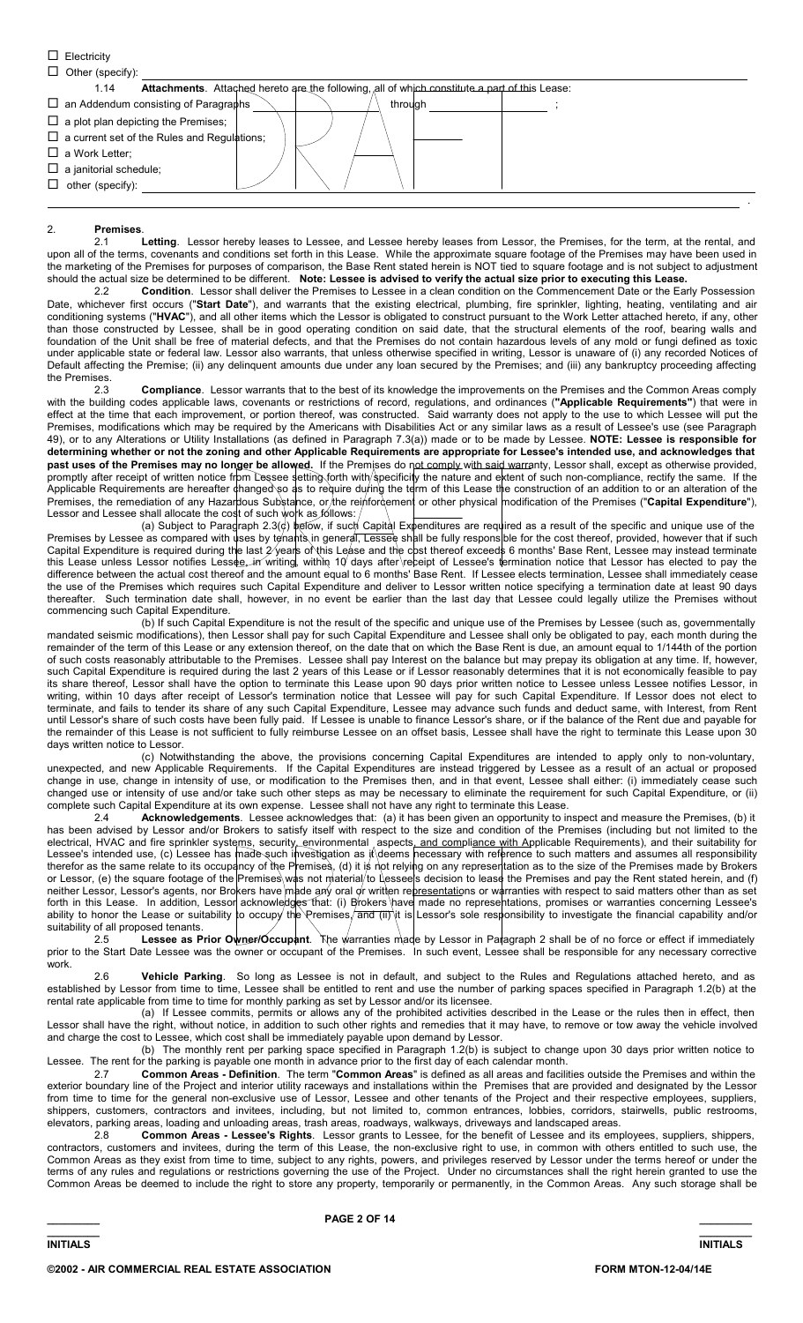| $\Box$ Electricity                                                                                    |
|-------------------------------------------------------------------------------------------------------|
| $\Box$ Other (specify):                                                                               |
| Attachments. Attached hereto are the following, all of which constitute a part of this Lease:<br>1.14 |
| $\Box$ an Addendum consisting of Paragraphs<br>through                                                |
| $\Box$ a plot plan depicting the Premises;                                                            |
| $\Box$ a current set of the Rules and Regulations:                                                    |
| $\Box$ a Work Letter;                                                                                 |
| $\Box$ a janitorial schedule;                                                                         |
| $\Box$ other (specify):                                                                               |
|                                                                                                       |

## 2. **Premises**.

Letting. Lessor hereby leases to Lessee, and Lessee hereby leases from Lessor, the Premises, for the term, at the rental, and upon all of the terms, covenants and conditions set forth in this Lease. While the approximate square footage of the Premises may have been used in the marketing of the Premises for purposes of comparison, the Base Rent stated herein is NOT tied to square footage and is not subject to adjustment should the actual size be determined to be different. **Note: Lessee is advised to verify the actual size prior to executing this Lease.**

 2.2 **Condition**. Lessor shall deliver the Premises to Lessee in a clean condition on the Commencement Date or the Early Possession Date, whichever first occurs ("**Start Date**"), and warrants that the existing electrical, plumbing, fire sprinkler, lighting, heating, ventilating and air conditioning systems ("**HVAC**"), and all other items which the Lessor is obligated to construct pursuant to the Work Letter attached hereto, if any, other than those constructed by Lessee, shall be in good operating condition on said date, that the structural elements of the roof, bearing walls and foundation of the Unit shall be free of material defects, and that the Premises do not contain hazardous levels of any mold or fungi defined as toxic under applicable state or federal law. Lessor also warrants, that unless otherwise specified in writing, Lessor is unaware of (i) any recorded Notices of Default affecting the Premise; (ii) any delinquent amounts due under any loan secured by the Premises; and (iii) any bankruptcy proceeding affecting the Premises.

 2.3 **Compliance**. Lessor warrants that to the best of its knowledge the improvements on the Premises and the Common Areas comply with the building codes applicable laws, covenants or restrictions of record, regulations, and ordinances (**"Applicable Requirements"**) that were in effect at the time that each improvement, or portion thereof, was constructed. Said warranty does not apply to the use to which Lessee will put the Premises, modifications which may be required by the Americans with Disabilities Act or any similar laws as a result of Lessee's use (see Paragraph 49), or to any Alterations or Utility Installations (as defined in Paragraph 7.3(a)) made or to be made by Lessee. **NOTE: Lessee is responsible for determining whether or not the zoning and other Applicable Requirements are appropriate for Lessee's intended use, and acknowledges that** past uses of the Premises may no longer be allowed. If the Premises do not comply with said warranty, Lessor shall, except as otherwise provided, promptly after receipt of written notice from Lessee setting forth with/specificity the nature and extent of such non-compliance, rectify the same. If the Applicable Requirements are hereafter ¢hanged∖so as to require du/ring the term of this Lease the construction of an addition to or an alteration of the Premises, the remediation of any Hazardous Substance, or the reinforcement or other physical modification of the Premises ("**Capital Expenditure**"), Lessor and Lessee shall allocate the cost of such work as follows:

(a) Subject to Paragraph 2.3(¢) below, if such Capital Expenditures are required as a result of the specific and unique use of the Premises by Lessee as compared with uses by tenants in general, Lessee shall be fully responsible for the cost thereof, provided, however that if such Capital Expenditure is required during the last 2/years of this Lease and the cost thereof exceeds 6 months' Base Rent, Lessee may instead terminate this Lease unless Lessor notifies Lessee, in writing, within 10 days after receipt of Lessee's termination notice that Lessor has elected to pay the difference between the actual cost thereof and the amount equal to 6 months' Base Rent. If Lessee elects termination, Lessee shall immediately cease the use of the Premises which requires such Capital Expenditure and deliver to Lessor written notice specifying a termination date at least 90 days thereafter. Such termination date shall, however, in no event be earlier than the last day that Lessee could legally utilize the Premises without commencing such Capital Expenditure.

 (b) If such Capital Expenditure is not the result of the specific and unique use of the Premises by Lessee (such as, governmentally mandated seismic modifications), then Lessor shall pay for such Capital Expenditure and Lessee shall only be obligated to pay, each month during the remainder of the term of this Lease or any extension thereof, on the date that on which the Base Rent is due, an amount equal to 1/144th of the portion of such costs reasonably attributable to the Premises. Lessee shall pay Interest on the balance but may prepay its obligation at any time. If, however, such Capital Expenditure is required during the last 2 years of this Lease or if Lessor reasonably determines that it is not economically feasible to pay its share thereof, Lessor shall have the option to terminate this Lease upon 90 days prior written notice to Lessee unless Lessee notifies Lessor, in writing, within 10 days after receipt of Lessor's termination notice that Lessee will pay for such Capital Expenditure. If Lessor does not elect to terminate, and fails to tender its share of any such Capital Expenditure, Lessee may advance such funds and deduct same, with Interest, from Rent until Lessor's share of such costs have been fully paid. If Lessee is unable to finance Lessor's share, or if the balance of the Rent due and payable for the remainder of this Lease is not sufficient to fully reimburse Lessee on an offset basis, Lessee shall have the right to terminate this Lease upon 30 days written notice to Lessor.

 (c) Notwithstanding the above, the provisions concerning Capital Expenditures are intended to apply only to non-voluntary, unexpected, and new Applicable Requirements. If the Capital Expenditures are instead triggered by Lessee as a result of an actual or proposed change in use, change in intensity of use, or modification to the Premises then, and in that event, Lessee shall either: (i) immediately cease such changed use or intensity of use and/or take such other steps as may be necessary to eliminate the requirement for such Capital Expenditure, or (ii) complete such Capital Expenditure at its own expense. Lessee shall not have any right to terminate this Lease.

 2.4 **Acknowledgements**. Lessee acknowledges that: (a) it has been given an opportunity to inspect and measure the Premises, (b) it has been advised by Lessor and/or Brokers to satisfy itself with respect to the size and condition of the Premises (including but not limited to the electrical, HVAC and fire sprinkler systems, security, environmental aspects, and compliance with Applicable Requirements), and their suitability for Lessee's intended use, (c) Lessee has made such investigation as it\deems necessary with reference to such matters and assumes all responsibility therefor as the same relate to its occupancy of the Premises, (d) it is not relying on any representation as to the size of the Premises made by Brokers or Lessor, (e) the square footage of the Premises was not material/to Lessee's decision to lease the Premises and pay the Rent stated herein, and (f) neither Lessor, Lessor's agents, nor Brokers have made any oral or written re<u>bresentatio</u>ns or warranties with respect to said matters other than as set forth in this Lease. In addition, Lessor acknowledges that: (i) Brokers have made no representations, promises or warranties concerning Lessee's ability to honor the Lease or suitability to occupy the Premises/and (ii) it is Lessor's sole responsibility to investigate the financial capability and/or

suitability of all proposed tenants.<br>2.5 **Lessee as Prior Owner/Occupant.** The warranties made by Lessor in Paragraph 2 shall be of no force or effect if immediately prior to the Start Date Lessee was the owner or occupant of the Premises. In such event, Lessee shall be responsible for any necessary corrective work.

 2.6 **Vehicle Parking**. So long as Lessee is not in default, and subject to the Rules and Regulations attached hereto, and as established by Lessor from time to time, Lessee shall be entitled to rent and use the number of parking spaces specified in Paragraph 1.2(b) at the rental rate applicable from time to time for monthly parking as set by Lessor and/or its licensee.

 (a) If Lessee commits, permits or allows any of the prohibited activities described in the Lease or the rules then in effect, then Lessor shall have the right, without notice, in addition to such other rights and remedies that it may have, to remove or tow away the vehicle involved and charge the cost to Lessee, which cost shall be immediately payable upon demand by Lessor.

 (b) The monthly rent per parking space specified in Paragraph 1.2(b) is subject to change upon 30 days prior written notice to Lessee. The rent for the parking is payable one month in advance prior to the first day of each calendar month.

 2.7 **Common Areas - Definition**. The term "**Common Areas**" is defined as all areas and facilities outside the Premises and within the exterior boundary line of the Project and interior utility raceways and installations within the Premises that are provided and designated by the Lessor from time to time for the general non-exclusive use of Lessor, Lessee and other tenants of the Project and their respective employees, suppliers, shippers, customers, contractors and invitees, including, but not limited to, common entrances, lobbies, corridors, stairwells, public restrooms, elevators, parking areas, loading and unloading areas, trash areas, roadways, walkways, driveways and landscaped areas.

 2.8 **Common Areas - Lessee's Rights**. Lessor grants to Lessee, for the benefit of Lessee and its employees, suppliers, shippers, contractors, customers and invitees, during the term of this Lease, the non-exclusive right to use, in common with others entitled to such use, the Common Areas as they exist from time to time, subject to any rights, powers, and privileges reserved by Lessor under the terms hereof or under the terms of any rules and regulations or restrictions governing the use of the Project. Under no circumstances shall the right herein granted to use the Common Areas be deemed to include the right to store any property, temporarily or permanently, in the Common Areas. Any such storage shall be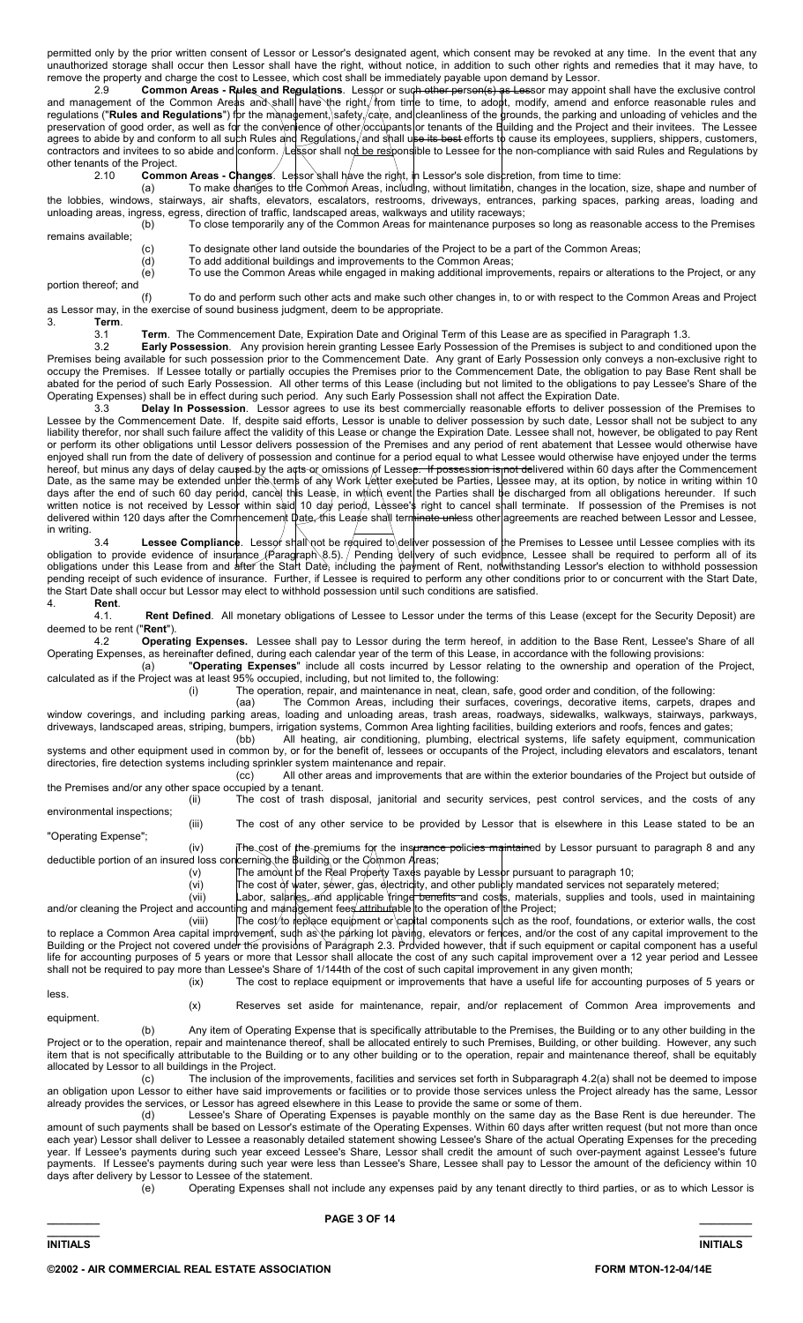permitted only by the prior written consent of Lessor or Lessor's designated agent, which consent may be revoked at any time. In the event that any unauthorized storage shall occur then Lessor shall have the right, without notice, in addition to such other rights and remedies that it may have, to remove the property and charge the cost to Lessee, which cost shall be immediately payable upon demand by Lessor.

 2.9 **Common Areas - Rules and Regulations**. Lessor or such other person(s) as Lessor may appoint shall have the exclusive control and management of the Common Areas and shall have the right, from time to time, to adopt, modify, amend and enforce reasonable rules and regulations ("**Rules and Regulations**") for the management, safety, care, and cleanliness of the grounds, the parking and unloading of vehicles and the preservation of good order, as well as for the convenience of other occupants or tenants of the Building and the Project and their invitees. The Lessee agrees to abide by and conform to all such Rules and Regulations/and shall use its best efforts to cause its employees, suppliers, shippers, customers, contractors and invitees to so abide and conform. /Lessor shall not be responsible to Lessee for the non-compliance with said Rules and Regulations by other tenants of the Project.

2.10 **Common Areas - Changes**. Lessor shall have the right, in Lessor's sole discretion, from time to time:

(a) To make changes to the Common Areas, including, without limitation, changes in the location, size, shape and number of the lobbies, windows, stairways, air shafts, elevators, escalators, restrooms, driveways, entrances, parking spaces, parking areas, loading and unloading areas, ingress, egress, direction of traffic, landscaped areas, walkways and utility raceways;

 (b) To close temporarily any of the Common Areas for maintenance purposes so long as reasonable access to the Premises remains available;

 (c) To designate other land outside the boundaries of the Project to be a part of the Common Areas; (d) To add additional buildings and improvements to the Common Areas;

(e) To use the Common Areas while engaged in making additional improvements, repairs or alterations to the Project, or any

portion thereof; and

 (f) To do and perform such other acts and make such other changes in, to or with respect to the Common Areas and Project as Lessor may, in the exercise of sound business judgment, deem to be appropriate.

3. **Term**.

3.1 **Term**. The Commencement Date, Expiration Date and Original Term of this Lease are as specified in Paragraph 1.3.

 3.2 **Early Possession**. Any provision herein granting Lessee Early Possession of the Premises is subject to and conditioned upon the Premises being available for such possession prior to the Commencement Date. Any grant of Early Possession only conveys a non-exclusive right to occupy the Premises. If Lessee totally or partially occupies the Premises prior to the Commencement Date, the obligation to pay Base Rent shall be abated for the period of such Early Possession. All other terms of this Lease (including but not limited to the obligations to pay Lessee's Share of the Operating Expenses) shall be in effect during such period. Any such Early Possession shall not affect the Expiration Date.

 3.3 **Delay In Possession**. Lessor agrees to use its best commercially reasonable efforts to deliver possession of the Premises to Lessee by the Commencement Date. If, despite said efforts, Lessor is unable to deliver possession by such date, Lessor shall not be subject to any liability therefor, nor shall such failure affect the validity of this Lease or change the Expiration Date. Lessee shall not, however, be obligated to pay Rent or perform its other obligations until Lessor delivers possession of the Premises and any period of rent abatement that Lessee would otherwise have enjoyed shall run from the date of delivery of possession and continue for a period equal to what Lessee would otherwise have enjoyed under the terms hereof, but minus any days of delay cau<del>sed by the acts o</del>r omissions of Lessee. Hi possession is not delivered within 60 days after the Commencement Date, as the same may be extended under the∖terms of anγ Work L⁄etter executed be Parties, Llessee may, at its option, by notice in writing within 10 days after the end of such 60 day period, cancel this Lease, in which event the Parties shall be discharged from all obligations hereunder. If such written notice is not received by Lessor within said 10 day period, Lessee's right to cancel shall terminate. If possession of the Premises is not delivered within 120 days after the Commencement Date, this Lease shall terminate unless other agreements are reached between Lessor and Lessee, in writing.

Lessee Compliance. Lessor shall not be required to deliver possession of the Premises to Lessee until Lessee complies with its obligation to provide evidence of insurance (Paragraph 8.5). / Pending delivery of such evidence, Lessee shall be required to perform all of its obligations under this Lease from and after the Start Date, including the payment of Rent, notwithstanding Lessor's election to withhold possession pending receipt of such evidence of insurance. Further, if Lessee is required to perform any other conditions prior to or concurrent with the Start Date, the Start Date shall occur but Lessor may elect to withhold possession until such conditions are satisfied. 4. **Rent**.

 4.1. **Rent Defined**. All monetary obligations of Lessee to Lessor under the terms of this Lease (except for the Security Deposit) are deemed to be rent ("**Rent**").

 4.2 **Operating Expenses.** Lessee shall pay to Lessor during the term hereof, in addition to the Base Rent, Lessee's Share of all Operating Expenses, as hereinafter defined, during each calendar year of the term of this Lease, in accordance with the following provisions:

 (a) "**Operating Expenses**" include all costs incurred by Lessor relating to the ownership and operation of the Project, calculated as if the Project was at least 95% occupied, including, but not limited to, the following:

(i) The operation, repair, and maintenance in neat, clean, safe, good order and condition, of the following:

 (aa) The Common Areas, including their surfaces, coverings, decorative items, carpets, drapes and window coverings, and including parking areas, loading and unloading areas, trash areas, roadways, sidewalks, walkways, stairways, parkways, driveways, landscaped areas, striping, bumpers, irrigation systems, Common Area lighting facilities, building exteriors and roofs, fences and gates;

 (bb) All heating, air conditioning, plumbing, electrical systems, life safety equipment, communication systems and other equipment used in common by, or for the benefit of, lessees or occupants of the Project, including elevators and escalators, tenant directories, fire detection systems including sprinkler system maintenance and repair.

 (cc) All other areas and improvements that are within the exterior boundaries of the Project but outside of the Premises and/or any other space occupied by a tenant.

 (ii) The cost of trash disposal, janitorial and security services, pest control services, and the costs of any environmental inspections;

 (iii) The cost of any other service to be provided by Lessor that is elsewhere in this Lease stated to be an "Operating Expense";

 (iv) The cost of the premiums for the insurance policies maintained by Lessor pursuant to paragraph 8 and any deductible portion of an insured loss concerning the Building or the Common Areas;

(v) The amount of the Real Property Taxes payable by Lessor pursuant to paragraph 10;

(vi) The cost of water, sewer, gas, electricity, and other publicly mandated services not separately metered;

(vii) Labor, salaries, and applicable fringe benefits and costs, materials, supplies and tools, used in maintaining and/or cleaning the Project and accounting and management fees attributable to the operation of the Project;

(viii) The cost/to replace equipment or capital components such as the roof, foundations, or exterior walls, the cost) to replace a Common Area capital improvement, such as the parking lot paving, elevators or fences, and/or the cost of any capital improvement to the Building or the Project not covered under the provisions of Paragraph 2.3. Provided however, that if such equipment or capital component has a useful life for accounting purposes of 5 years or more that Lessor shall allocate the cost of any such capital improvement over a 12 year period and Lessee shall not be required to pay more than Lessee's Share of 1/144th of the cost of such capital improvement in any given month;<br>(ix) The cost to replace equipment or improvements that have a useful life for accounting

The cost to replace equipment or improvements that have a useful life for accounting purposes of 5 years or less.

 (x) Reserves set aside for maintenance, repair, and/or replacement of Common Area improvements and equipment.

 (b) Any item of Operating Expense that is specifically attributable to the Premises, the Building or to any other building in the Project or to the operation, repair and maintenance thereof, shall be allocated entirely to such Premises, Building, or other building. However, any such item that is not specifically attributable to the Building or to any other building or to the operation, repair and maintenance thereof, shall be equitably allocated by Lessor to all buildings in the Project.

 (c) The inclusion of the improvements, facilities and services set forth in Subparagraph 4.2(a) shall not be deemed to impose an obligation upon Lessor to either have said improvements or facilities or to provide those services unless the Project already has the same, Lessor already provides the services, or Lessor has agreed elsewhere in this Lease to provide the same or some of them.

 (d) Lessee's Share of Operating Expenses is payable monthly on the same day as the Base Rent is due hereunder. The amount of such payments shall be based on Lessor's estimate of the Operating Expenses. Within 60 days after written request (but not more than once each year) Lessor shall deliver to Lessee a reasonably detailed statement showing Lessee's Share of the actual Operating Expenses for the preceding year. If Lessee's payments during such year exceed Lessee's Share, Lessor shall credit the amount of such over-payment against Lessee's future payments. If Lessee's payments during such year were less than Lessee's Share, Lessee shall pay to Lessor the amount of the deficiency within 10 days after delivery by Lessor to Lessee of the statement.

(e) Operating Expenses shall not include any expenses paid by any tenant directly to third parties, or as to which Lessor is

**\_\_\_\_\_\_\_\_\_ PAGE 3 OF 14 \_\_\_\_\_\_\_\_\_**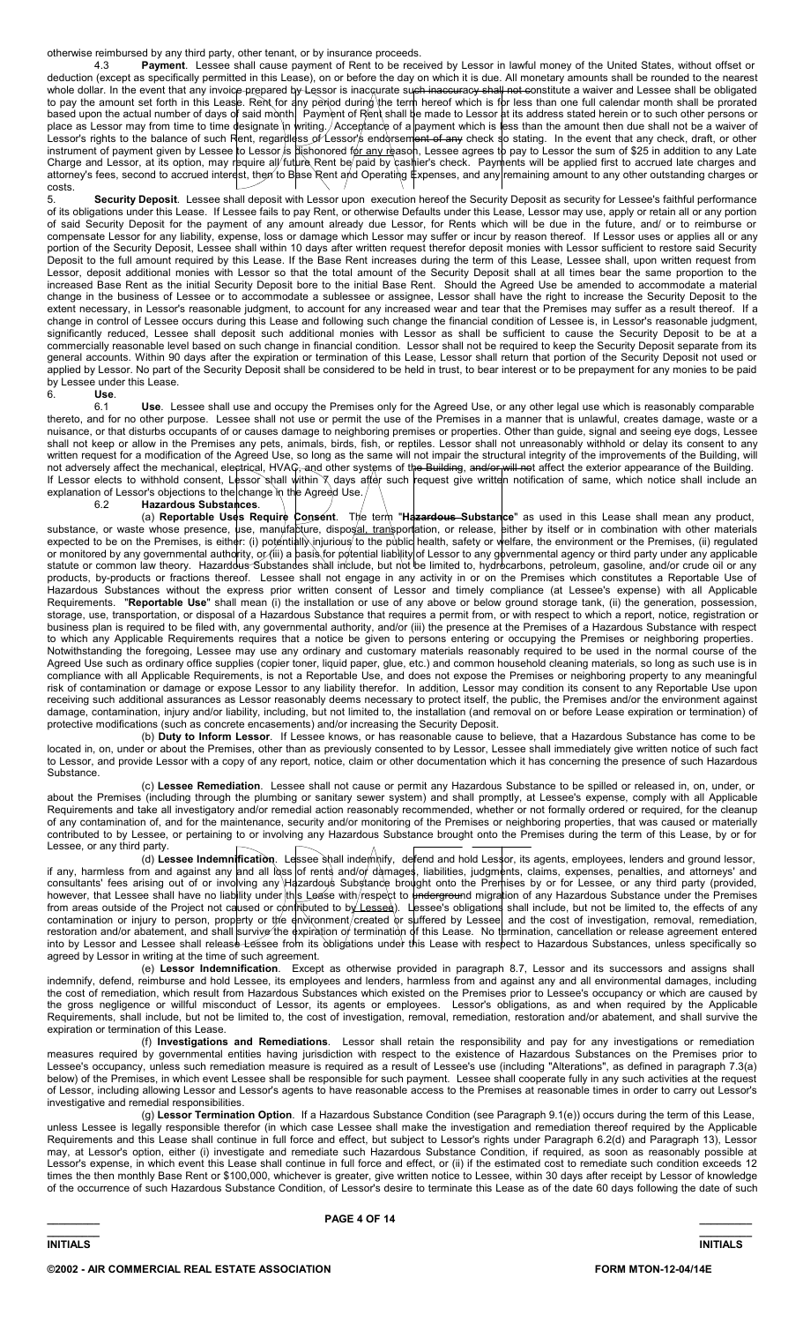otherwise reimbursed by any third party, other tenant, or by insurance proceeds.

 4.3 **Payment**. Lessee shall cause payment of Rent to be received by Lessor in lawful money of the United States, without offset or deduction (except as specifically permitted in this Lease), on or before the day on which it is due. All monetary amounts shall be rounded to the nearest whole dollar. In the event that any invoice-prepared by-Lessor is inaccurate su<del>ch inaccuracy shall not c</del>onstitute a waiver and Lessee shall be obligated to pay the amount set forth in this Lease. Rent for any period during the term hereof which is for less than one full calendar month shall be prorated based upon the actual number of days of said mònth. Payment of Rent shall be made to Lessor at its address stated herein or to such other persons or place as Lessor may from time to time designate in writing./Acceptance of a payment which is less than the amount then due shall not be a waiver of Lessor's rights to the balance of such Rent, regardless of Lessor's endorsemen<del>t of any</del> check so stating. In the event that any check, draft, or other instrument of payment given by Lessee to Lessor is dishonored f<u>ør any re</u>asoh, Lessee agrees to pay to Lessor the sum of \$25 in addition to any Late Charge and Lessor, at its option, may require all/future Rent be paid by cashier's check. Payments will be applied first to accrued late charges and attorney's fees, second to accrued interest, then to Base Rent and Operating Expenses, and any remaining amount to any other outstanding charges or costs.

5. **Security Deposit**. Lessee shall deposit with Lessor upon execution hereof the Security Deposit as security for Lessee's faithful performance of its obligations under this Lease. If Lessee fails to pay Rent, or otherwise Defaults under this Lease, Lessor may use, apply or retain all or any portion of said Security Deposit for the payment of any amount already due Lessor, for Rents which will be due in the future, and/ or to reimburse or compensate Lessor for any liability, expense, loss or damage which Lessor may suffer or incur by reason thereof. If Lessor uses or applies all or any portion of the Security Deposit, Lessee shall within 10 days after written request therefor deposit monies with Lessor sufficient to restore said Security Deposit to the full amount required by this Lease. If the Base Rent increases during the term of this Lease, Lessee shall, upon written request from Lessor, deposit additional monies with Lessor so that the total amount of the Security Deposit shall at all times bear the same proportion to the increased Base Rent as the initial Security Deposit bore to the initial Base Rent. Should the Agreed Use be amended to accommodate a material change in the business of Lessee or to accommodate a sublessee or assignee, Lessor shall have the right to increase the Security Deposit to the extent necessary, in Lessor's reasonable judgment, to account for any increased wear and tear that the Premises may suffer as a result thereof. If a change in control of Lessee occurs during this Lease and following such change the financial condition of Lessee is, in Lessor's reasonable judgment, significantly reduced, Lessee shall deposit such additional monies with Lessor as shall be sufficient to cause the Security Deposit to be at a commercially reasonable level based on such change in financial condition. Lessor shall not be required to keep the Security Deposit separate from its general accounts. Within 90 days after the expiration or termination of this Lease, Lessor shall return that portion of the Security Deposit not used or applied by Lessor. No part of the Security Deposit shall be considered to be held in trust, to bear interest or to be prepayment for any monies to be paid by Lessee under this Lease.

6. **Use**. Use. Lessee shall use and occupy the Premises only for the Agreed Use, or any other legal use which is reasonably comparable thereto, and for no other purpose. Lessee shall not use or permit the use of the Premises in a manner that is unlawful, creates damage, waste or a nuisance, or that disturbs occupants of or causes damage to neighboring premises or properties. Other than guide, signal and seeing eye dogs, Lessee shall not keep or allow in the Premises any pets, animals, birds, fish, or reptiles. Lessor shall not unreasonably withhold or delay its consent to any written request for a modification of the Agreed Use, so long as the same will not impair the structural integrity of the improvements of the Building, will not adversely affect the mechanical, eleetrical, HVAC, and other systems of the Building, and/or will not affect the exterior appearance of the Building. If Lessor elects to withhold consent, Lessor shall within  $\bar{\chi}$  days after such request give written notification of same, which notice shall include an explanation of Lessor's objections to the change in the Agreed Use.

### 6.2 **Hazardous Substances**.

 (a) **Reportable Uses Require Consent**. The term "**Hazardous Substance**" as used in this Lease shall mean any product, substance, or waste whose presence, use, manufacture, disposal, transportation, or release, either by itself or in combination with other materials expected to be on the Premises, is either: (i) potentially injurious to the public health, safety or welfare, the environment or the Premises, (ii) regulated or monitored by any governmental authority, or (iii) a basis for potential liability of Lessor to any governmental agency or third party under any applicable statute or common law theory. Hazardous Substances shàll include, but not be limited to, hydrocarbons, petroleum, gasoline, and/or crude oil or any products, by-products or fractions thereof. Lessee shall not engage in any activity in or on the Premises which constitutes a Reportable Use of Hazardous Substances without the express prior written consent of Lessor and timely compliance (at Lessee's expense) with all Applicable Requirements. "**Reportable Use**" shall mean (i) the installation or use of any above or below ground storage tank, (ii) the generation, possession, storage, use, transportation, or disposal of a Hazardous Substance that requires a permit from, or with respect to which a report, notice, registration or business plan is required to be filed with, any governmental authority, and/or (iii) the presence at the Premises of a Hazardous Substance with respect to which any Applicable Requirements requires that a notice be given to persons entering or occupying the Premises or neighboring properties. Notwithstanding the foregoing, Lessee may use any ordinary and customary materials reasonably required to be used in the normal course of the Agreed Use such as ordinary office supplies (copier toner, liquid paper, glue, etc.) and common household cleaning materials, so long as such use is in compliance with all Applicable Requirements, is not a Reportable Use, and does not expose the Premises or neighboring property to any meaningful risk of contamination or damage or expose Lessor to any liability therefor. In addition, Lessor may condition its consent to any Reportable Use upon receiving such additional assurances as Lessor reasonably deems necessary to protect itself, the public, the Premises and/or the environment against damage, contamination, injury and/or liability, including, but not limited to, the installation (and removal on or before Lease expiration or termination) of protective modifications (such as concrete encasements) and/or increasing the Security Deposit.

 (b) **Duty to Inform Lessor**. If Lessee knows, or has reasonable cause to believe, that a Hazardous Substance has come to be located in, on, under or about the Premises, other than as previously consented to by Lessor, Lessee shall immediately give written notice of such fact to Lessor, and provide Lessor with a copy of any report, notice, claim or other documentation which it has concerning the presence of such Hazardous Substance.

 (c) **Lessee Remediation**. Lessee shall not cause or permit any Hazardous Substance to be spilled or released in, on, under, or about the Premises (including through the plumbing or sanitary sewer system) and shall promptly, at Lessee's expense, comply with all Applicable Requirements and take all investigatory and/or remedial action reasonably recommended, whether or not formally ordered or required, for the cleanup of any contamination of, and for the maintenance, security and/or monitoring of the Premises or neighboring properties, that was caused or materially contributed to by Lessee, or pertaining to or involving any Hazardous Substance brought onto the Premises during the term of this Lease, by or for Lessee, or any third party.

(d) Lessee Indemnification. Lessee shall indemnify, defend and hold Lessor, its agents, employees, lenders and ground lessor, if any, harmless from and against any and all loss of rents and/or damages, liabilities, judgments, claims, expenses, penalties, and attorneys' and consultants' fees arising out of or involving any Hazardous Substance brought onto the Premises by or for Lessee, or any third party (provided, however, that Lessee shall have no liability under this Lease with/respect to underground migration of any Hazardous Substance under the Premises from areas outside of the Project not caused or contributed to by Lessee). Lessee's obligations shall include, but not be limited to, the effects of any contamination or injury to person, property or the environment/created or suffered by Lessee, and the cost of investigation, removal, remediation, restoration and/or abatement, and shall survive⁄the expiration or termination of this Lease. No termination, cancellation or release agreement entered into by Lessor and Lessee shall release Lessee from its obligations under this Lease with respect to Hazardous Substances, unless specifically so agreed by Lessor in writing at the time of such agreement.

 (e) **Lessor Indemnification**. Except as otherwise provided in paragraph 8.7, Lessor and its successors and assigns shall indemnify, defend, reimburse and hold Lessee, its employees and lenders, harmless from and against any and all environmental damages, including the cost of remediation, which result from Hazardous Substances which existed on the Premises prior to Lessee's occupancy or which are caused by the gross negligence or willful misconduct of Lessor, its agents or employees. Lessor's obligations, as and when required by the Applicable Requirements, shall include, but not be limited to, the cost of investigation, removal, remediation, restoration and/or abatement, and shall survive the expiration or termination of this Lease.

 (f) **Investigations and Remediations**. Lessor shall retain the responsibility and pay for any investigations or remediation measures required by governmental entities having jurisdiction with respect to the existence of Hazardous Substances on the Premises prior to Lessee's occupancy, unless such remediation measure is required as a result of Lessee's use (including "Alterations", as defined in paragraph 7.3(a) below) of the Premises, in which event Lessee shall be responsible for such payment. Lessee shall cooperate fully in any such activities at the request of Lessor, including allowing Lessor and Lessor's agents to have reasonable access to the Premises at reasonable times in order to carry out Lessor's investigative and remedial responsibilities.

 (g) **Lessor Termination Option**. If a Hazardous Substance Condition (see Paragraph 9.1(e)) occurs during the term of this Lease, unless Lessee is legally responsible therefor (in which case Lessee shall make the investigation and remediation thereof required by the Applicable Requirements and this Lease shall continue in full force and effect, but subject to Lessor's rights under Paragraph 6.2(d) and Paragraph 13), Lessor may, at Lessor's option, either (i) investigate and remediate such Hazardous Substance Condition, if required, as soon as reasonably possible at Lessor's expense, in which event this Lease shall continue in full force and effect, or (ii) if the estimated cost to remediate such condition exceeds 12 times the then monthly Base Rent or \$100,000, whichever is greater, give written notice to Lessee, within 30 days after receipt by Lessor of knowledge of the occurrence of such Hazardous Substance Condition, of Lessor's desire to terminate this Lease as of the date 60 days following the date of such

**INITIALS INITIALS**

**\_\_\_\_\_\_\_\_\_ \_\_\_\_\_\_\_\_\_**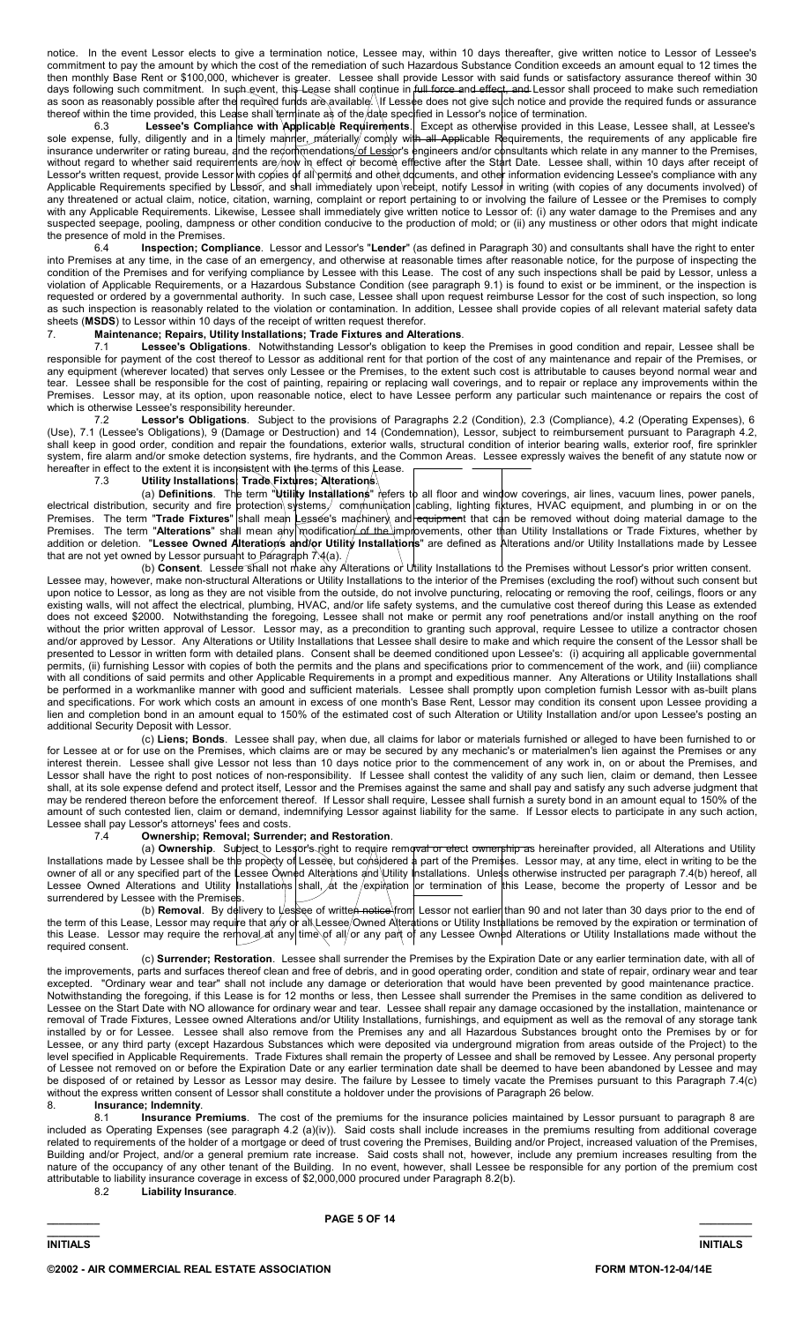notice. In the event Lessor elects to give a termination notice, Lessee may, within 10 days thereafter, give written notice to Lessor of Lessee's commitment to pay the amount by which the cost of the remediation of such Hazardous Substance Condition exceeds an amount equal to 12 times the then monthly Base Rent or \$100,000, whichever is greater. Lessee shall provide Lessor with said funds or satisfactory assurance thereof within 30 days following such commitment. In such event, this Lease shall continue in full force and effect, and Lessor shall proceed to make such remediation as soon as reasonably possible after the required funds are available/ \lf Lessee does not give such notice and provide the required funds or assurance thereof within the time provided, this Lease shall terminate as of the date specified in Lessor's notice of termination.

 6.3 **Lessee's Compliance with Applicable Requirements**. Except as otherwise provided in this Lease, Lessee shall, at Lessee's sole expense, fully, diligently and in a timely manner, materially comply with all Applicable Requirements, the requirements of any applicable fire insurance underwriter or rating bureau, and the redommendations/of Lessor's engineers and/or consultants which relate in any manner to the Premises, without regard to whether said requirements are/now in effect or become effective after the Start Date. Lessee shall, within 10 days after receipt of Lessor's written request, provide Lessor with copies of all`permits and other documents, and other information evidencing Lessee's compliance with any Applicable Requirements specified by Lessor, and shall immediately upon receipt, notify Lessor in writing (with copies of any documents involved) of any threatened or actual claim, notice, citation, warning, complaint or report pertaining to or involving the failure of Lessee or the Premises to comply with any Applicable Requirements. Likewise, Lessee shall immediately give written notice to Lessor of: (i) any water damage to the Premises and any suspected seepage, pooling, dampness or other condition conducive to the production of mold; or (ii) any mustiness or other odors that might indicate the presence of mold in the Premises.

 6.4 **Inspection; Compliance**. Lessor and Lessor's "**Lender**" (as defined in Paragraph 30) and consultants shall have the right to enter into Premises at any time, in the case of an emergency, and otherwise at reasonable times after reasonable notice, for the purpose of inspecting the condition of the Premises and for verifying compliance by Lessee with this Lease. The cost of any such inspections shall be paid by Lessor, unless a violation of Applicable Requirements, or a Hazardous Substance Condition (see paragraph 9.1) is found to exist or be imminent, or the inspection is requested or ordered by a governmental authority. In such case, Lessee shall upon request reimburse Lessor for the cost of such inspection, so long as such inspection is reasonably related to the violation or contamination. In addition, Lessee shall provide copies of all relevant material safety data sheets (**MSDS**) to Lessor within 10 days of the receipt of written request therefor.<br>7 **Maintenance: Repairs Utility Installations: Trade Fixtures and Alte** 

## 7. **Maintenance; Repairs, Utility Installations; Trade Fixtures and Alterations**.

 7.1 **Lessee's Obligations**. Notwithstanding Lessor's obligation to keep the Premises in good condition and repair, Lessee shall be responsible for payment of the cost thereof to Lessor as additional rent for that portion of the cost of any maintenance and repair of the Premises, or any equipment (wherever located) that serves only Lessee or the Premises, to the extent such cost is attributable to causes beyond normal wear and Lessee shall be responsible for the cost of painting, repairing or replacing wall coverings, and to repair or replace any improvements within the Premises. Lessor may, at its option, upon reasonable notice, elect to have Lessee perform any particular such maintenance or repairs the cost of which is otherwise Lessee's responsibility hereunder.

 7.2 **Lessor's Obligations**. Subject to the provisions of Paragraphs 2.2 (Condition), 2.3 (Compliance), 4.2 (Operating Expenses), 6 (Use), 7.1 (Lessee's Obligations), 9 (Damage or Destruction) and 14 (Condemnation), Lessor, subject to reimbursement pursuant to Paragraph 4.2, shall keep in good order, condition and repair the foundations, exterior walls, structural condition of interior bearing walls, exterior roof, fire sprinkler system, fire alarm and/or smoke detection systems, fire hydrants, and the Common Areas. Lessee expressly waives the benefit of any statute now or hereafter in effect to the extent it is inconsistent with the terms of this Lease.

### 7.3 **Utility Installations; Trade Fixtures; Alterations**.

 (a) **Definitions**. The term "**Utility Installations**" refers to all floor and window coverings, air lines, vacuum lines, power panels, electrical distribution, security and fire protection systems/ communication cabling, lighting fixtures, HVAC equipment, and plumbing in or on the Premises. The term "Trade Fixtures" Shall mean Lessee's machinery and equipment that can be removed without doing material damage to the Premises. The term "Alterations" shall mean any modification of the improvements, other than Utility Installations or Trade Fixtures, whether by addition or deletion. "**Lessee Owned Alterations and/or Utility Installations**" are defined as Alterations and/or Utility Installations made by Lessee that are not yet owned by Lessor pursuant to Paragraph 7.4(a).

 (b) **Consent**. Lessee shall not make any Alterations or Utility Installations to the Premises without Lessor's prior written consent. Lessee may, however, make non-structural Alterations or Utility Installations to the interior of the Premises (excluding the roof) without such consent but upon notice to Lessor, as long as they are not visible from the outside, do not involve puncturing, relocating or removing the roof, ceilings, floors or any existing walls, will not affect the electrical, plumbing, HVAC, and/or life safety systems, and the cumulative cost thereof during this Lease as extended does not exceed \$2000. Notwithstanding the foregoing, Lessee shall not make or permit any roof penetrations and/or install anything on the roof without the prior written approval of Lessor. Lessor may, as a precondition to granting such approval, require Lessee to utilize a contractor chosen and/or approved by Lessor. Any Alterations or Utility Installations that Lessee shall desire to make and which require the consent of the Lessor shall be presented to Lessor in written form with detailed plans. Consent shall be deemed conditioned upon Lessee's: (i) acquiring all applicable governmental permits, (ii) furnishing Lessor with copies of both the permits and the plans and specifications prior to commencement of the work, and (iii) compliance with all conditions of said permits and other Applicable Requirements in a prompt and expeditious manner. Any Alterations or Utility Installations shall be performed in a workmanlike manner with good and sufficient materials. Lessee shall promptly upon completion furnish Lessor with as-built plans and specifications. For work which costs an amount in excess of one month's Base Rent, Lessor may condition its consent upon Lessee providing a lien and completion bond in an amount equal to 150% of the estimated cost of such Alteration or Utility Installation and/or upon Lessee's posting an additional Security Deposit with Lessor.

 (c) **Liens; Bonds**. Lessee shall pay, when due, all claims for labor or materials furnished or alleged to have been furnished to or for Lessee at or for use on the Premises, which claims are or may be secured by any mechanic's or materialmen's lien against the Premises or any interest therein. Lessee shall give Lessor not less than 10 days notice prior to the commencement of any work in, on or about the Premises, and Lessor shall have the right to post notices of non-responsibility. If Lessee shall contest the validity of any such lien, claim or demand, then Lessee shall, at its sole expense defend and protect itself, Lessor and the Premises against the same and shall pay and satisfy any such adverse judgment that may be rendered thereon before the enforcement thereof. If Lessor shall require, Lessee shall furnish a surety bond in an amount equal to 150% of the amount of such contested lien, claim or demand, indemnifying Lessor against liability for the same. If Lessor elects to participate in any such action, Lessee shall pay Lessor's attorneys' fees and costs.

# 7.4 **Ownership; Removal; Surrender; and Restoration**.

 (a) **Ownership**. Subject to Lessor's right to require removal or elect ownership as hereinafter provided, all Alterations and Utility Installations made by Lessee shall be the property of Lessee, but considered a part of the Premises. Lessor may, at any time, elect in writing to be the owner of all or any specified part of the Lessee Owned Alterations and Utility Installations. Unless otherwise instructed per paragraph 7.4(b) hereof, all Lessee Owned Alterations and Utility Installations shall, at the expiration or termination of this Lease, become the property of Lessor and be surrendered by Lessee with the Premise

(b) **Removal**. By delivery to Lessee of written notice from Lessor not earlier than 90 and not later than 30 days prior to the end of the term of this Lease, Lessor may require that any or all Lessee Owned Alterations or Utility Installations be removed by the expiration or termination of this Lease. Lessor may require the removal at any time∖of all/or any part of any Lessee Owned Alterations or Utility Installations made without the required consent.

 (c) **Surrender; Restoration**. Lessee shall surrender the Premises by the Expiration Date or any earlier termination date, with all of the improvements, parts and surfaces thereof clean and free of debris, and in good operating order, condition and state of repair, ordinary wear and tear excepted. "Ordinary wear and tear" shall not include any damage or deterioration that would have been prevented by good maintenance practice. Notwithstanding the foregoing, if this Lease is for 12 months or less, then Lessee shall surrender the Premises in the same condition as delivered to Lessee on the Start Date with NO allowance for ordinary wear and tear. Lessee shall repair any damage occasioned by the installation, maintenance or removal of Trade Fixtures, Lessee owned Alterations and/or Utility Installations, furnishings, and equipment as well as the removal of any storage tank installed by or for Lessee. Lessee shall also remove from the Premises any and all Hazardous Substances brought onto the Premises by or for Lessee, or any third party (except Hazardous Substances which were deposited via underground migration from areas outside of the Project) to the level specified in Applicable Requirements. Trade Fixtures shall remain the property of Lessee and shall be removed by Lessee. Any personal property of Lessee not removed on or before the Expiration Date or any earlier termination date shall be deemed to have been abandoned by Lessee and may be disposed of or retained by Lessor as Lessor may desire. The failure by Lessee to timely vacate the Premises pursuant to this Paragraph 7.4(c) without the express written consent of Lessor shall constitute a holdover under the provisions of Paragraph 26 below.

# 8. **Insurance; Indemnity**.

 8.1 **Insurance Premiums**. The cost of the premiums for the insurance policies maintained by Lessor pursuant to paragraph 8 are included as Operating Expenses (see paragraph 4.2 (a)(iv)). Said costs shall include increases in the premiums resulting from additional coverage related to requirements of the holder of a mortgage or deed of trust covering the Premises, Building and/or Project, increased valuation of the Premises, Building and/or Project, and/or a general premium rate increase. Said costs shall not, however, include any premium increases resulting from the nature of the occupancy of any other tenant of the Building. In no event, however, shall Lessee be responsible for any portion of the premium cost attributable to liability insurance coverage in excess of \$2,000,000 procured under Paragraph 8.2(b).

8.2 **Liability Insurance**.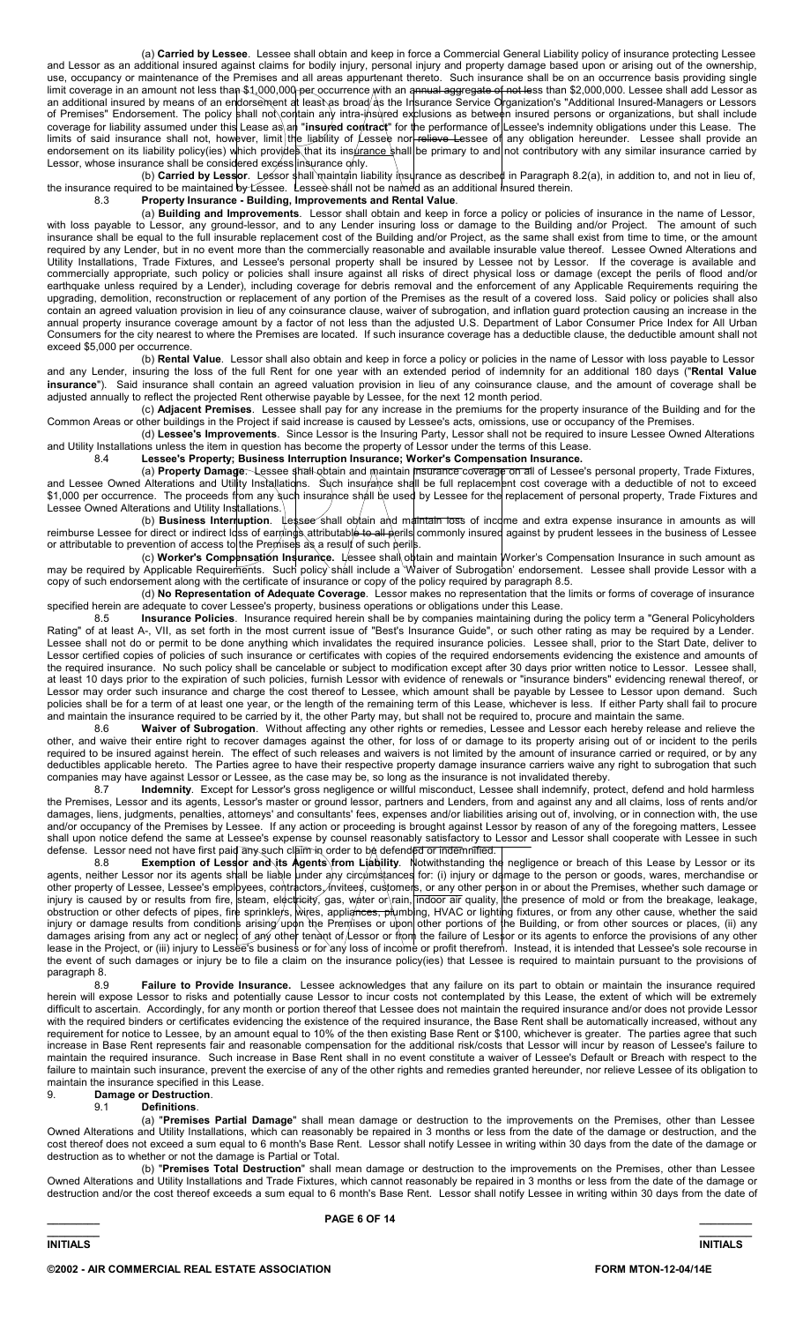(a) **Carried by Lessee**. Lessee shall obtain and keep in force a Commercial General Liability policy of insurance protecting Lessee and Lessor as an additional insured against claims for bodily injury, personal injury and property damage based upon or arising out of the ownership, use, occupancy or maintenance of the Premises and all areas appurtenant thereto. Such insurance shall be on an occurrence basis providing single limit coverage in an amount not less tha<del>n \$</del>1,000,000 per occurrence with an annual aggregate of not less than \$2,000,000. Lessee shall add Lessor as an additional insured by means of an endorsement at least∖as broad⁄ às the Insurance Service Organization's "Additional Insured-Managers or Lessors of Premises" Endorsement. The policy shall not contain any intra-insured exclusions as between insured persons or organizations, but shall include coverage for liability assumed under this Lease as an "**insured contract**" for the performance of Lessee's indemnity obligations under this Lease. The limits of said insurance shall not, however, limit the liability of Lessee nor<del> relieve Le</del>ssee of any obligation hereunder. Lessee shall provide an endorsement on its liability policy(ies) which provides that its insurance shall be primary to and not contributory with any similar insurance carried by Lessor, whose insurance shall be considered excéss insurance only.

 (b) **Carried by Lessor**. Lessor shall maintain liability insurance as described in Paragraph 8.2(a), in addition to, and not in lieu of, the insurance required to be maintained by Lessee. Lessee shall not be named as an additional insured therein.

8.3 **Property Insurance - Building, Improvements and Rental Value**.

 (a) **Building and Improvements**. Lessor shall obtain and keep in force a policy or policies of insurance in the name of Lessor, with loss payable to Lessor, any ground-lessor, and to any Lender insuring loss or damage to the Building and/or Project. The amount of such insurance shall be equal to the full insurable replacement cost of the Building and/or Project, as the same shall exist from time to time, or the amount required by any Lender, but in no event more than the commercially reasonable and available insurable value thereof. Lessee Owned Alterations and Utility Installations, Trade Fixtures, and Lessee's personal property shall be insured by Lessee not by Lessor. If the coverage is available and commercially appropriate, such policy or policies shall insure against all risks of direct physical loss or damage (except the perils of flood and/or earthquake unless required by a Lender), including coverage for debris removal and the enforcement of any Applicable Requirements requiring the upgrading, demolition, reconstruction or replacement of any portion of the Premises as the result of a covered loss. Said policy or policies shall also contain an agreed valuation provision in lieu of any coinsurance clause, waiver of subrogation, and inflation guard protection causing an increase in the annual property insurance coverage amount by a factor of not less than the adjusted U.S. Department of Labor Consumer Price Index for All Urban Consumers for the city nearest to where the Premises are located. If such insurance coverage has a deductible clause, the deductible amount shall not exceed \$5,000 per occurrence.

 (b) **Rental Value**. Lessor shall also obtain and keep in force a policy or policies in the name of Lessor with loss payable to Lessor and any Lender, insuring the loss of the full Rent for one year with an extended period of indemnity for an additional 180 days ("**Rental Value insurance**"). Said insurance shall contain an agreed valuation provision in lieu of any coinsurance clause, and the amount of coverage shall be adjusted annually to reflect the projected Rent otherwise payable by Lessee, for the next 12 month period.

 (c) **Adjacent Premises**. Lessee shall pay for any increase in the premiums for the property insurance of the Building and for the Common Areas or other buildings in the Project if said increase is caused by Lessee's acts, omissions, use or occupancy of the Premises.

 (d) **Lessee's Improvements**. Since Lessor is the Insuring Party, Lessor shall not be required to insure Lessee Owned Alterations and Utility Installations unless the item in question has become the property of Lessor under the terms of this Lease.

8.4 **Lessee's Property; Business Interruption Insurance; Worker's Compensation Insurance.**

 (a) **Property Damage**. Lessee shall obtain and maintain insurance coverage on all of Lessee's personal property, Trade Fixtures, and Lessee Owned Alterations and Utility Installations. Such insurance shall be full replacement cost coverage with a deductible of not to exceed \$1,000 per occurrence. The proceeds from any such insurance shall be used by Lessee for the replacement of personal property, Trade Fixtures and Lessee Owned Alterations and Utility Installations.

 (b) **Business Interruption**. Lessee shall obtain and maintain loss of income and extra expense insurance in amounts as will reimburse Lessee for direct or indirect Idss of earnings attributable to all perils commonly insured against by prudent lessees in the business of Lessee or attributable to prevention of access to the Premises as a result of such perils.

 (c) **Worker's Compensation Insurance.** Lessee shall obtain and maintain Worker's Compensation Insurance in such amount as may be required by Applicable Requirements. Such policy`shall include a 'Waiver of Subrogation' endorsement. Lessee shall provide Lessor with a copy of such endorsement along with the certificate of insurance or copy of the policy required by paragraph 8.5.

 (d) **No Representation of Adequate Coverage**. Lessor makes no representation that the limits or forms of coverage of insurance specified herein are adequate to cover Lessee's property, business operations or obligations under this Lease.

 8.5 **Insurance Policies**. Insurance required herein shall be by companies maintaining during the policy term a "General Policyholders Rating" of at least A-, VII, as set forth in the most current issue of "Best's Insurance Guide", or such other rating as may be required by a Lender. Lessee shall not do or permit to be done anything which invalidates the required insurance policies. Lessee shall, prior to the Start Date, deliver to Lessor certified copies of policies of such insurance or certificates with copies of the required endorsements evidencing the existence and amounts of the required insurance. No such policy shall be cancelable or subject to modification except after 30 days prior written notice to Lessor. Lessee shall, at least 10 days prior to the expiration of such policies, furnish Lessor with evidence of renewals or "insurance binders" evidencing renewal thereof, or Lessor may order such insurance and charge the cost thereof to Lessee, which amount shall be payable by Lessee to Lessor upon demand. Such policies shall be for a term of at least one year, or the length of the remaining term of this Lease, whichever is less. If either Party shall fail to procure and maintain the insurance required to be carried by it, the other Party may, but shall not be required to, procure and maintain the same.<br>And maintain the insurance required to be carried by it, the other Party may, but s

Waiver of Subrogation. Without affecting any other rights or remedies, Lessee and Lessor each hereby release and relieve the other, and waive their entire right to recover damages against the other, for loss of or damage to its property arising out of or incident to the perils required to be insured against herein. The effect of such releases and waivers is not limited by the amount of insurance carried or required, or by any deductibles applicable hereto. The Parties agree to have their respective property damage insurance carriers waive any right to subrogation that such companies may have against Lessor or Lessee, as the case may be, so long as the insurance is not invalidated thereby.

 8.7 **Indemnity**. Except for Lessor's gross negligence or willful misconduct, Lessee shall indemnify, protect, defend and hold harmless the Premises, Lessor and its agents, Lessor's master or ground lessor, partners and Lenders, from and against any and all claims, loss of rents and/or damages, liens, judgments, penalties, attorneys' and consultants' fees, expenses and/or liabilities arising out of, involving, or in connection with, the use and/or occupancy of the Premises by Lessee. If any action or proceeding is brought against Lessor by reason of any of the foregoing matters, Lessee shall upon notice defend the same at Lessee's expense by counsel reasonably satisfactory to Lessor and Lessor shall cooperate with Lessee in such defense. Lessor need not have first paid any such claim in order to be defended or indemnified.

 8.8 **Exemption of Lessor and its Agents from Liability**. Notwithstanding the negligence or breach of this Lease by Lessor or its agents, neither Lessor nor its agents shall be liable under any circumstances for: (i) injury or damage to the person or goods, wares, merchandise or other property of Lessee, Lessee's employees, contractors, invitees, customers, or any other person in or about the Premises, whether such damage or injury is caused by or results from fire, steam, electricity, gas, water or\rain, indoor air quality, the presence of mold or from the breakage, leakage, obstruction or other defects of pipes, fire sprinkle/s, wires, appliances<del>, pl</del>umbing, HVAC or lighting fixtures, or from any other cause, whether the said injury or damage results from conditions arising upon the Premises or upon other portions of the Building, or from other sources or places, (ii) any damages arising from any act or neglect of any other tenant of Lessor or from the failure of Lessor or its agents to enforce the provisions of any other lease in the Project, or (iii) injury to Lessee's business or for`any loss of income or profit therefrom. Instead, it is intended that Lessee's sole recourse in the event of such damages or injury be to file a claim on the insurance policy(ies) that Lessee is required to maintain pursuant to the provisions of

paragraph 8. Failure to Provide Insurance. Lessee acknowledges that any failure on its part to obtain or maintain the insurance required herein will expose Lessor to risks and potentially cause Lessor to incur costs not contemplated by this Lease, the extent of which will be extremely difficult to ascertain. Accordingly, for any month or portion thereof that Lessee does not maintain the required insurance and/or does not provide Lessor with the required binders or certificates evidencing the existence of the required insurance, the Base Rent shall be automatically increased, without any requirement for notice to Lessee, by an amount equal to 10% of the then existing Base Rent or \$100, whichever is greater. The parties agree that such increase in Base Rent represents fair and reasonable compensation for the additional risk/costs that Lessor will incur by reason of Lessee's failure to maintain the required insurance. Such increase in Base Rent shall in no event constitute a waiver of Lessee's Default or Breach with respect to the failure to maintain such insurance, prevent the exercise of any of the other rights and remedies granted hereunder, nor relieve Lessee of its obligation to maintain the insurance specified in this Lease.

# 9. **Damage or Destruction**.

# 9.1 **Definitions**.

 (a) "**Premises Partial Damage**" shall mean damage or destruction to the improvements on the Premises, other than Lessee Owned Alterations and Utility Installations, which can reasonably be repaired in 3 months or less from the date of the damage or destruction, and the cost thereof does not exceed a sum equal to 6 month's Base Rent. Lessor shall notify Lessee in writing within 30 days from the date of the damage or destruction as to whether or not the damage is Partial or Total.

 (b) "**Premises Total Destruction**" shall mean damage or destruction to the improvements on the Premises, other than Lessee Owned Alterations and Utility Installations and Trade Fixtures, which cannot reasonably be repaired in 3 months or less from the date of the damage or destruction and/or the cost thereof exceeds a sum equal to 6 month's Base Rent. Lessor shall notify Lessee in writing within 30 days from the date of

**\_\_\_\_\_\_\_\_\_ \_\_\_\_\_\_\_\_\_ INITIALS INITIALS**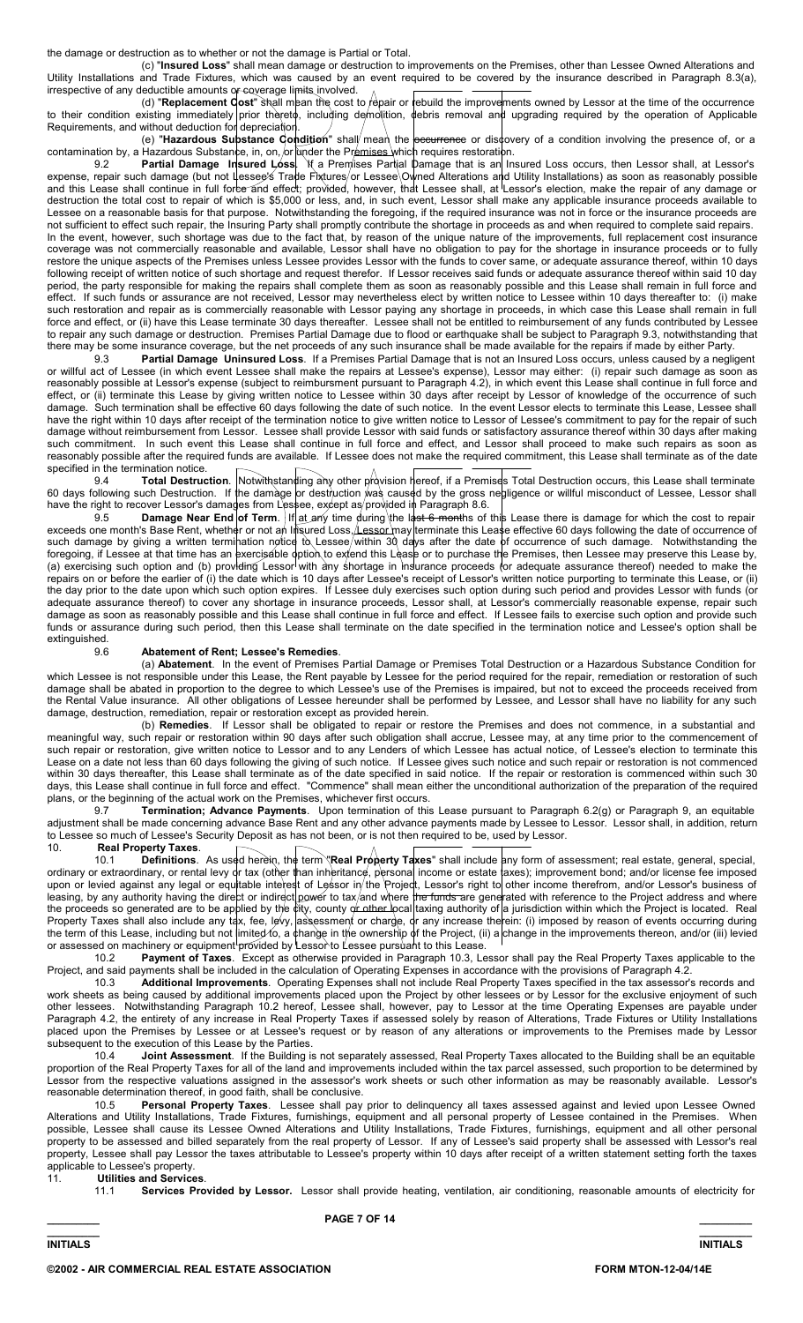the damage or destruction as to whether or not the damage is Partial or Total.

 (c) "**Insured Loss**" shall mean damage or destruction to improvements on the Premises, other than Lessee Owned Alterations and Utility Installations and Trade Fixtures, which was caused by an event required to be covered by the insurance described in Paragraph 8.3(a), irrespective of any deductible amounts or coverage limits involved.

 (d) "**Replacement Cost**" shall mean the cost to repair or rebuild the improvements owned by Lessor at the time of the occurrence to their condition existing immediately prior thereto, including demolition, debris removal and upgrading required by the operation of Applicable Requirements, and without deduction for depreciation.

 (e) "**Hazardous Substance Condition**" shall mean the occurrence or discovery of a condition involving the presence of, or a contamination by, a Hazardous Substance, in, on, or under the Premises which requires restoration.

 9.2 **Partial Damage Insured Loss**. If a Premises Partial Damage that is an Insured Loss occurs, then Lessor shall, at Lessor's expense, repair such damage (but not Lessee's Trade Fixtures/or Lessee\Owned Alterations and Utility Installations) as soon as reasonably possible and this Lease shall continue in full force and effect; provided, however, that Lessee shall, at Lessor's election, make the repair of any damage or destruction the total cost to repair of which is \$5,000 or less, and, in such event, Lessor shall make any applicable insurance proceeds available to Lessee on a reasonable basis for that purpose. Notwithstanding the foregoing, if the required insurance was not in force or the insurance proceeds are not sufficient to effect such repair, the Insuring Party shall promptly contribute the shortage in proceeds as and when required to complete said repairs. In the event, however, such shortage was due to the fact that, by reason of the unique nature of the improvements, full replacement cost insurance coverage was not commercially reasonable and available, Lessor shall have no obligation to pay for the shortage in insurance proceeds or to fully restore the unique aspects of the Premises unless Lessee provides Lessor with the funds to cover same, or adequate assurance thereof, within 10 days following receipt of written notice of such shortage and request therefor. If Lessor receives said funds or adequate assurance thereof within said 10 day period, the party responsible for making the repairs shall complete them as soon as reasonably possible and this Lease shall remain in full force and

effect. If such funds or assurance are not received, Lessor may nevertheless elect by written notice to Lessee within 10 days thereafter to: (i) make such restoration and repair as is commercially reasonable with Lessor paying any shortage in proceeds, in which case this Lease shall remain in full force and effect, or (ii) have this Lease terminate 30 days thereafter. Lessee shall not be entitled to reimbursement of any funds contributed by Lessee to repair any such damage or destruction. Premises Partial Damage due to flood or earthquake shall be subject to Paragraph 9.3, notwithstanding that there may be some insurance coverage, but the net proceeds of any such insurance shall be made available for the repairs if made by either Party.

 9.3 **Partial Damage Uninsured Loss**. If a Premises Partial Damage that is not an Insured Loss occurs, unless caused by a negligent or willful act of Lessee (in which event Lessee shall make the repairs at Lessee's expense), Lessor may either: (i) repair such damage as soon as reasonably possible at Lessor's expense (subject to reimbursment pursuant to Paragraph 4.2), in which event this Lease shall continue in full force and effect, or (ii) terminate this Lease by giving written notice to Lessee within 30 days after receipt by Lessor of knowledge of the occurrence of such damage. Such termination shall be effective 60 days following the date of such notice. In the event Lessor elects to terminate this Lease, Lessee shall have the right within 10 days after receipt of the termination notice to give written notice to Lessor of Lessee's commitment to pay for the repair of such damage without reimbursement from Lessor. Lessee shall provide Lessor with said funds or satisfactory assurance thereof within 30 days after making such commitment. In such event this Lease shall continue in full force and effect, and Lessor shall proceed to make such repairs as soon as reasonably possible after the required funds are available. If Lessee does not make the required commitment, this Lease shall terminate as of the date specified in the termination notice.

9.4 **Total Destruction**. Notwithstanding any other provision hereof, if a Premises Total Destruction occurs, this Lease shall terminate 60 days following such Destruction. If the damàge or destruction was caused by the gross negligence or willful misconduct of Lessee, Lessor shall have the right to recover Lessor's damages from Lessee, except as/provided in Paragraph 8.6.

9.5 **Damage Near End of Term**. If at any time during the last 6 months of this Lease there is damage for which the cost to repair exceeds one month's Base Rent, whether or not aท Inิรุนred Loss,/Lessor may|terminate this Lease effective 60 days following the date of occurrence of such damage by giving a written termihation notice to Lessee/within 30 days after the date of occurrence of such damage. Notwithstanding the foregoing, if Lessee at that time has an exercisáble option to extend this Lease or to purchase the Premises, then Lessee may preserve this Lease by, (a) exercising such option and (b) providing Lessor<sup>l</sup> with any shortage in insurance proceeds (or adequate assurance thereof) needed to make the repairs on or before the earlier of (i) the date which is 10 days after Lessee's receipt of Lessor's written notice purporting to terminate this Lease, or (ii) the day prior to the date upon which such option expires. If Lessee duly exercises such option during such period and provides Lessor with funds (or adequate assurance thereof) to cover any shortage in insurance proceeds, Lessor shall, at Lessor's commercially reasonable expense, repair such damage as soon as reasonably possible and this Lease shall continue in full force and effect. If Lessee fails to exercise such option and provide such funds or assurance during such period, then this Lease shall terminate on the date specified in the termination notice and Lessee's option shall be extinguished.

### 9.6 **Abatement of Rent; Lessee's Remedies**.

 (a) **Abatement**. In the event of Premises Partial Damage or Premises Total Destruction or a Hazardous Substance Condition for which Lessee is not responsible under this Lease, the Rent payable by Lessee for the period required for the repair, remediation or restoration of such damage shall be abated in proportion to the degree to which Lessee's use of the Premises is impaired, but not to exceed the proceeds received from the Rental Value insurance. All other obligations of Lessee hereunder shall be performed by Lessee, and Lessor shall have no liability for any such damage, destruction, remediation, repair or restoration except as provided herein.

 (b) **Remedies**. If Lessor shall be obligated to repair or restore the Premises and does not commence, in a substantial and meaningful way, such repair or restoration within 90 days after such obligation shall accrue, Lessee may, at any time prior to the commencement of such repair or restoration, give written notice to Lessor and to any Lenders of which Lessee has actual notice, of Lessee's election to terminate this Lease on a date not less than 60 days following the giving of such notice. If Lessee gives such notice and such repair or restoration is not commenced within 30 days thereafter, this Lease shall terminate as of the date specified in said notice. If the repair or restoration is commenced within such 30 days, this Lease shall continue in full force and effect. "Commence" shall mean either the unconditional authorization of the preparation of the required plans, or the beginning of the actual work on the Premises, whichever first occurs.

 9.7 **Termination; Advance Payments**. Upon termination of this Lease pursuant to Paragraph 6.2(g) or Paragraph 9, an equitable adjustment shall be made concerning advance Base Rent and any other advance payments made by Lessee to Lessor. Lessor shall, in addition, return to Lessee so much of Lessee's Security Deposit as has not been, or is not then required to be, used by Lessor.<br>10. **Real Property Taxes.** 

10. **Real Property Taxes**.

 10.1 **Definitions**. As used herein, the term "**Real Property Taxes**" shall include any form of assessment; real estate, general, special, ordinary or extraordinary, or rental levy or tax (other than inheritance, personal income or estate taxes); improvement bond; and/or license fee imposed upon or levied against any legal or equitable interest of Lessor in/the Projedt, Lessor's right to other income therefrom, and/or Lessor's business of leasing, by any authority having the direct or indirect power to tax/and where the funds are generated with reference to the Project address and where the proceeds so generated are to be applied by the city, county or other local taxing authority of a jurisdiction within which the Project is located. Real Property Taxes shall also include any tax, fee, levy, assessment or charge, or any increase therein: (i) imposed by reason of events occurring during the term of this Lease, including but not limited to, a change in the ownership of the Project, (ii) a change in the improvements thereon, and/or (iii) levied or assessed on machinery or equipment provided by Lessor to Lessee pursuaht to this Lease.

 10.2 **Payment of Taxes**. Except as otherwise provided in Paragraph 10.3, Lessor shall pay the Real Property Taxes applicable to the Project, and said payments shall be included in the calculation of Operating Expenses in accordance with the provisions of Paragraph 4.2.

 10.3 **Additional Improvements**. Operating Expenses shall not include Real Property Taxes specified in the tax assessor's records and work sheets as being caused by additional improvements placed upon the Project by other lessees or by Lessor for the exclusive enjoyment of such other lessees. Notwithstanding Paragraph 10.2 hereof, Lessee shall, however, pay to Lessor at the time Operating Expenses are payable under Paragraph 4.2, the entirety of any increase in Real Property Taxes if assessed solely by reason of Alterations, Trade Fixtures or Utility Installations placed upon the Premises by Lessee or at Lessee's request or by reason of any alterations or improvements to the Premises made by Lessor subsequent to the execution of this Lease by the Parties.

 10.4 **Joint Assessment**. If the Building is not separately assessed, Real Property Taxes allocated to the Building shall be an equitable proportion of the Real Property Taxes for all of the land and improvements included within the tax parcel assessed, such proportion to be determined by Lessor from the respective valuations assigned in the assessor's work sheets or such other information as may be reasonably available. Lessor's reasonable determination thereof, in good faith, shall be conclusive.

 10.5 **Personal Property Taxes**. Lessee shall pay prior to delinquency all taxes assessed against and levied upon Lessee Owned Alterations and Utility Installations, Trade Fixtures, furnishings, equipment and all personal property of Lessee contained in the Premises. When possible, Lessee shall cause its Lessee Owned Alterations and Utility Installations, Trade Fixtures, furnishings, equipment and all other personal property to be assessed and billed separately from the real property of Lessor. If any of Lessee's said property shall be assessed with Lessor's real property, Lessee shall pay Lessor the taxes attributable to Lessee's property within 10 days after receipt of a written statement setting forth the taxes applicable to Lessee's property.

11. **Utilities and Services**.

11.1 **Services Provided by Lessor.** Lessor shall provide heating, ventilation, air conditioning, reasonable amounts of electricity for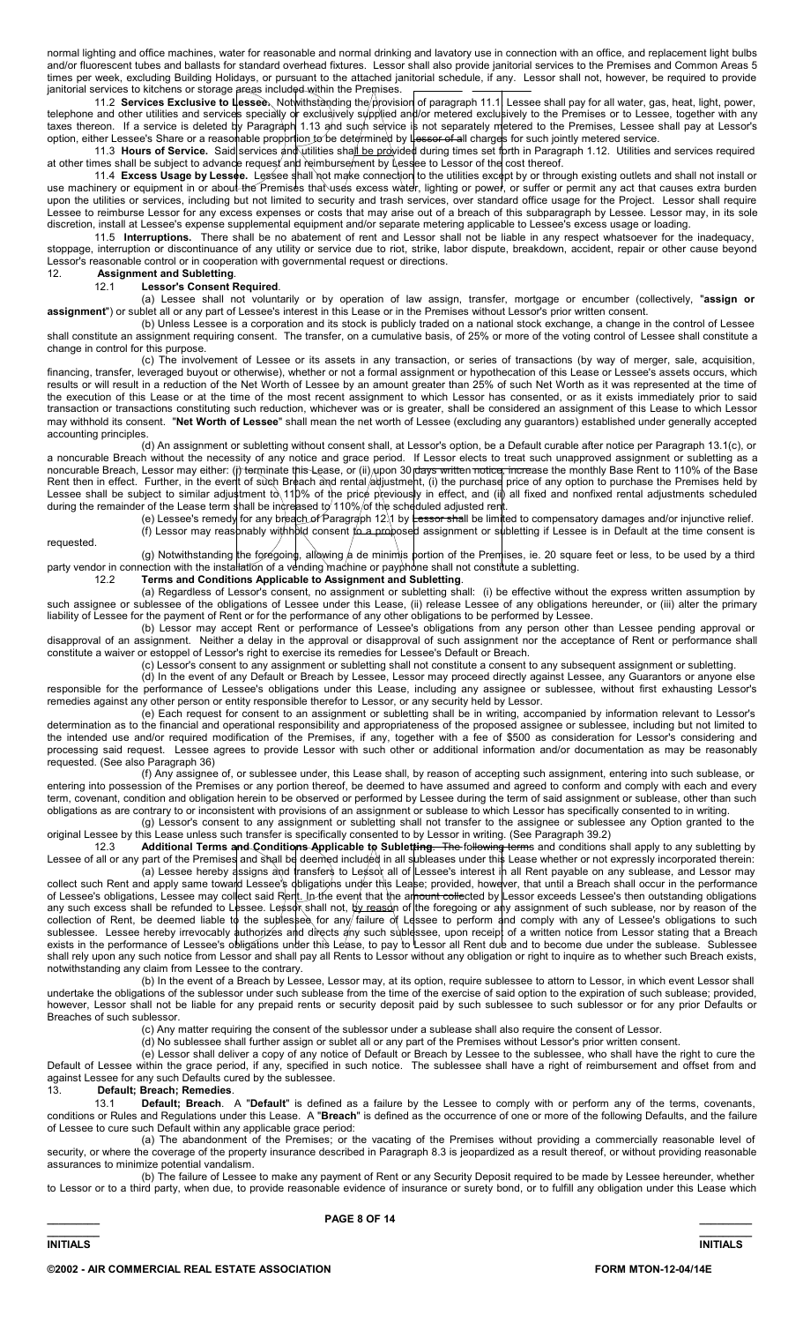normal lighting and office machines, water for reasonable and normal drinking and lavatory use in connection with an office, and replacement light bulbs and/or fluorescent tubes and ballasts for standard overhead fixtures. Lessor shall also provide janitorial services to the Premises and Common Areas 5 times per week, excluding Building Holidays, or pursuant to the attached janitorial schedule, if any. Lessor shall not, however, be required to provide janitorial services to kitchens or storage areas included within the Premises.

11.2 Services Exclusive to Lessee. Notwithstanding the/provision of paragraph 11.1, Lessee shall pay for all water, gas, heat, light, power, telephone and other utilities and services specially or exclusively supplied and/or metered exclusively to the Premises or to Lessee, together with any taxes thereon. If a service is deleted by Paragraph 1.13 and such service is not separately metered to the Premises, Lessee shall pay at Lessor's option, either Lessee's Share or a reasonable proportion to be determined by Lessor of all charges for such jointly metered service.

11.3 **Hours of Service.** Said services and utilities shall be provided during times set forth in Paragraph 1.12. Utilities and services required at other times shall be subject to advance request and reimbursement by Lessee to Lessor of the cost thereof.

11.4 **Excess Usage by Lessee.** Lessee shall not make connection to the utilities except by or through existing outlets and shall not install or use machinery or equipment in or abou<del>t the</del> Premises that`uses excess water, lighting or power, or suffer or permit any act that causes extra burden upon the utilities or services, including but not limited to security and trash services, over standard office usage for the Project. Lessor shall require Lessee to reimburse Lessor for any excess expenses or costs that may arise out of a breach of this subparagraph by Lessee. Lessor may, in its sole discretion, install at Lessee's expense supplemental equipment and/or separate metering applicable to Lessee's excess usage or loading.

 11.5 **Interruptions.** There shall be no abatement of rent and Lessor shall not be liable in any respect whatsoever for the inadequacy, stoppage, interruption or discontinuance of any utility or service due to riot, strike, labor dispute, breakdown, accident, repair or other cause beyond Lessor's reasonable control or in cooperation with governmental request or directions.

#### 12. **Assignment and Subletting**. **Lessor's Consent Required.**

 (a) Lessee shall not voluntarily or by operation of law assign, transfer, mortgage or encumber (collectively, "**assign or assignment**") or sublet all or any part of Lessee's interest in this Lease or in the Premises without Lessor's prior written consent.

 (b) Unless Lessee is a corporation and its stock is publicly traded on a national stock exchange, a change in the control of Lessee shall constitute an assignment requiring consent. The transfer, on a cumulative basis, of 25% or more of the voting control of Lessee shall constitute a change in control for this purpose.

 (c) The involvement of Lessee or its assets in any transaction, or series of transactions (by way of merger, sale, acquisition, financing, transfer, leveraged buyout or otherwise), whether or not a formal assignment or hypothecation of this Lease or Lessee's assets occurs, which results or will result in a reduction of the Net Worth of Lessee by an amount greater than 25% of such Net Worth as it was represented at the time of the execution of this Lease or at the time of the most recent assignment to which Lessor has consented, or as it exists immediately prior to said transaction or transactions constituting such reduction, whichever was or is greater, shall be considered an assignment of this Lease to which Lessor may withhold its consent. "**Net Worth of Lessee**" shall mean the net worth of Lessee (excluding any guarantors) established under generally accepted accounting principles.

 (d) An assignment or subletting without consent shall, at Lessor's option, be a Default curable after notice per Paragraph 13.1(c), or a noncurable Breach without the necessity of any notice and grace period. If Lessor elects to treat such unapproved assignment or subletting as a noncurable Breach, Lessor may either: (i) terminate this Lease, or (ii) upon 30 days written notice, increase the monthly Base Rent to 110% of the Base Rent then in effect. Further, in the event of such Breach and rental adjustment, (i) the purchase price of any option to purchase the Premises held by Lessee shall be subject to similar adjustment to 110% of the price previously in effect, and (ii) all fixed and nonfixed rental adjustments scheduled during the remainder of the Lease term shall be increased to 110%/of the scheduled adjusted rent.

(e) Lessee's remedy for any breach of Paragraph 12.\1 by L<del>essor sh</del>all be limited to compensatory damages and/or injunctive relief. (f) Lessor may reasbnably withhold consent to a proposed assignment or subletting if Lessee is in Default at the time consent is requested.

 (g) Notwithstanding the foregoing, allowing a de minimis portion of the Premises, ie. 20 square feet or less, to be used by a third party vendor in connection with the insta<del>ll</del>ation of a vending machine or payphone shall not constitute a subletting.

12.2 **Terms and Conditions Applicable to Assignment and Subletting**.

 (a) Regardless of Lessor's consent, no assignment or subletting shall: (i) be effective without the express written assumption by such assignee or sublessee of the obligations of Lessee under this Lease, (ii) release Lessee of any obligations hereunder, or (iii) alter the primary liability of Lessee for the payment of Rent or for the performance of any other obligations to be performed by Lessee.

 (b) Lessor may accept Rent or performance of Lessee's obligations from any person other than Lessee pending approval or disapproval of an assignment. Neither a delay in the approval or disapproval of such assignment nor the acceptance of Rent or performance shall constitute a waiver or estoppel of Lessor's right to exercise its remedies for Lessee's Default or Breach.

(c) Lessor's consent to any assignment or subletting shall not constitute a consent to any subsequent assignment or subletting.

 (d) In the event of any Default or Breach by Lessee, Lessor may proceed directly against Lessee, any Guarantors or anyone else responsible for the performance of Lessee's obligations under this Lease, including any assignee or sublessee, without first exhausting Lessor's remedies against any other person or entity responsible therefor to Lessor, or any security held by Lessor.

 (e) Each request for consent to an assignment or subletting shall be in writing, accompanied by information relevant to Lessor's determination as to the financial and operational responsibility and appropriateness of the proposed assignee or sublessee, including but not limited to the intended use and/or required modification of the Premises, if any, together with a fee of \$500 as consideration for Lessor's considering and processing said request. Lessee agrees to provide Lessor with such other or additional information and/or documentation as may be reasonably requested. (See also Paragraph 36)

 (f) Any assignee of, or sublessee under, this Lease shall, by reason of accepting such assignment, entering into such sublease, or entering into possession of the Premises or any portion thereof, be deemed to have assumed and agreed to conform and comply with each and every term, covenant, condition and obligation herein to be observed or performed by Lessee during the term of said assignment or sublease, other than such obligations as are contrary to or inconsistent with provisions of an assignment or sublease to which Lessor has specifically consented to in writing.

 (g) Lessor's consent to any assignment or subletting shall not transfer to the assignee or sublessee any Option granted to the original Lessee by this Lease unless such transfer is specifically consented to by Lessor in writing. (See Paragraph 39.2)

 12.3 **Additional Terms and Conditions Applicable to Subletting**. The following terms and conditions shall apply to any subletting by Lessee of all or any part of the Premises and shall be deemed included in all subleases under this Lease whether or not expressly incorporated therein:

 (a) Lessee hereby assigns and transfers to Lessor all of Lessee's interest in all Rent payable on any sublease, and Lessor may collect such Rent and apply same toward Lessee's obligations under this Lease; provided, however, that until a Breach shall occur in the performance of Lessee's obligations, Lessee may collect said Rent. In the event that the arnount collected by Lessor exceeds Lessee's then outstanding obligations any such excess shall be refunded to Lessee. Lessφk shall not, by reason of the foregoing or any assignment of such sublease, nor by reason of the collection of Rent, be deemed liable to the sublessee for any failure of Lessee to perform and comply with any of Lessee's obligations to such sublessee. Lessee hereby irrevocably authorizes and directs any such sublessee, upon receipt of a written notice from Lessor stating that a Breach exists in the performance of Lessee's obligations under this Lease, to pay to Lessor all Rent due and to become due under the sublease. Sublessee shall rely upon any such notice from Lessor and shall pay all Rents to Lessor without any obligation or right to inquire as to whether such Breach exists, notwithstanding any claim from Lessee to the contrary.

 (b) In the event of a Breach by Lessee, Lessor may, at its option, require sublessee to attorn to Lessor, in which event Lessor shall undertake the obligations of the sublessor under such sublease from the time of the exercise of said option to the expiration of such sublease; provided, however, Lessor shall not be liable for any prepaid rents or security deposit paid by such sublessee to such sublessor or for any prior Defaults or Breaches of such sublessor.

(c) Any matter requiring the consent of the sublessor under a sublease shall also require the consent of Lessor.

 (d) No sublessee shall further assign or sublet all or any part of the Premises without Lessor's prior written consent. (e) Lessor shall deliver a copy of any notice of Default or Breach by Lessee to the sublessee, who shall have the right to cure the Default of Lessee within the grace period, if any, specified in such notice. The sublessee shall have a right of reimbursement and offset from and against Lessee for any such Defaults cured by the sublessee.

# 13. **Default; Breach; Remedies**.

 13.1 **Default; Breach**. A "**Default**" is defined as a failure by the Lessee to comply with or perform any of the terms, covenants, conditions or Rules and Regulations under this Lease. A "**Breach**" is defined as the occurrence of one or more of the following Defaults, and the failure of Lessee to cure such Default within any applicable grace period:

 (a) The abandonment of the Premises; or the vacating of the Premises without providing a commercially reasonable level of security, or where the coverage of the property insurance described in Paragraph 8.3 is jeopardized as a result thereof, or without providing reasonable assurances to minimize potential vandalism.

 (b) The failure of Lessee to make any payment of Rent or any Security Deposit required to be made by Lessee hereunder, whether to Lessor or to a third party, when due, to provide reasonable evidence of insurance or surety bond, or to fulfill any obligation under this Lease which

**INITIALS INITIALS**

**\_\_\_\_\_\_\_\_\_ \_\_\_\_\_\_\_\_\_**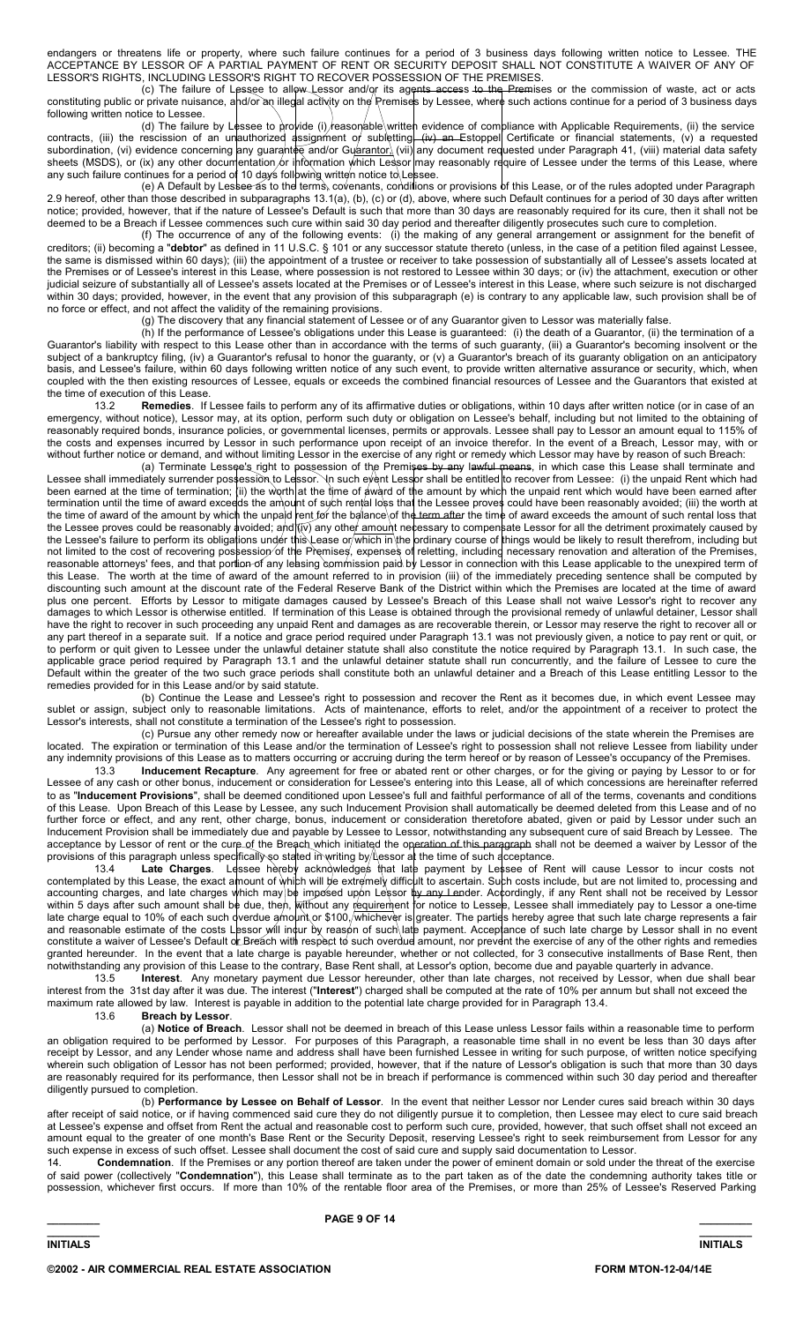endangers or threatens life or property, where such failure continues for a period of 3 business days following written notice to Lessee. THE ACCEPTANCE BY LESSOR OF A PARTIAL PAYMENT OF RENT OR SECURITY DEPOSIT SHALL NOT CONSTITUTE A WAIVER OF ANY OF LESSOR'S RIGHTS, INCLUDING LESSOR'S RIGHT TO RECOVER POSSESSION OF THE PREMISES.

(c) The failure of Lessee to allow Lessor and/or its agents access to the Premises or the commission of waste, act or acts constituting public or private nuisance, and/or an illegal activity on the Premises by Lessee, where such actions continue for a period of 3 business days following written notice to Lessee.

(d) The failure by Lessee to provide (i) reasonable written evidence of compliance with Applicable Requirements, (ii) the service contracts, (iii) the rescission of an unauthorized assignment or subletting, (iv) an Estoppel Certificate or financial statements, (v) a requested subordination, (vi) evidence concerning any guarantee and/or Guarantor) (vii) any document requested under Paragraph 41, (viii) material data safety sheets (MSDS), or (ix) any other documentation or information which Lessor may reasonably require of Lessee under the terms of this Lease, where any such failure continues for a period of 10 days following written notice to Lessee.

 (e) A Default by Lessee as to the terms, covenants, conditions or provisions of this Lease, or of the rules adopted under Paragraph 2.9 hereof, other than those described in subparagraphs 13.1(a), (b), (c) or (d), above, where such Default continues for a period of 30 days after written notice; provided, however, that if the nature of Lessee's Default is such that more than 30 days are reasonably required for its cure, then it shall not be deemed to be a Breach if Lessee commences such cure within said 30 day period and thereafter diligently prosecutes such cure to completion.

 (f) The occurrence of any of the following events: (i) the making of any general arrangement or assignment for the benefit of creditors; (ii) becoming a "**debtor**" as defined in 11 U.S.C. § 101 or any successor statute thereto (unless, in the case of a petition filed against Lessee, the same is dismissed within 60 days); (iii) the appointment of a trustee or receiver to take possession of substantially all of Lessee's assets located at the Premises or of Lessee's interest in this Lease, where possession is not restored to Lessee within 30 days; or (iv) the attachment, execution or other judicial seizure of substantially all of Lessee's assets located at the Premises or of Lessee's interest in this Lease, where such seizure is not discharged within 30 days; provided, however, in the event that any provision of this subparagraph (e) is contrary to any applicable law, such provision shall be of no force or effect, and not affect the validity of the remaining provisions.

(g) The discovery that any financial statement of Lessee or of any Guarantor given to Lessor was materially false.

 (h) If the performance of Lessee's obligations under this Lease is guaranteed: (i) the death of a Guarantor, (ii) the termination of a Guarantor's liability with respect to this Lease other than in accordance with the terms of such guaranty, (iii) a Guarantor's becoming insolvent or the subject of a bankruptcy filing, (iv) a Guarantor's refusal to honor the guaranty, or (v) a Guarantor's breach of its guaranty obligation on an anticipatory basis, and Lessee's failure, within 60 days following written notice of any such event, to provide written alternative assurance or security, which, when coupled with the then existing resources of Lessee, equals or exceeds the combined financial resources of Lessee and the Guarantors that existed at the time of execution of this Lease.<br>13.2 **Remedies**. If

Remedies. If Lessee fails to perform any of its affirmative duties or obligations, within 10 days after written notice (or in case of an emergency, without notice), Lessor may, at its option, perform such duty or obligation on Lessee's behalf, including but not limited to the obtaining of reasonably required bonds, insurance policies, or governmental licenses, permits or approvals. Lessee shall pay to Lessor an amount equal to 115% of the costs and expenses incurred by Lessor in such performance upon receipt of an invoice therefor. In the event of a Breach, Lessor may, with or without further notice or demand, and without limiting Lessor in the exercise of any right or remedy which Lessor may have by reason of such Breach:

(a) Terminate Lessee's right to possession of the Premises by any lawful means, in which case this Lease shall terminate and Lessee shall immediately surrender possession to Lessor. In such event Lessor shall be entitled to recover from Lessee: (i) the unpaid Rent which had been earned at the time of termination; (ii) the worth at the time of award of the amount by which the unpaid rent which would have been earned after termination until the time of award exceeds the amount of such rental loss that the Lessee proves could have been reasonably avoided; (iii) the worth at the time of award of the amount by which the unpaid rent for the balance\of the term after the time of award exceeds the amount of such rental loss that the Lessee proves could be reasonably avoided; and (iv) any other amount necessary to compensate Lessor for all the detriment proximately caused by the Lessee's failure to perform its obligations under this∖Lease or/which in∖the ordinary course of things would be likely to result therefrom, including but not limited to the cost of recovering possession of the Premises, expenses of reletting, including necessary renovation and alteration of the Premises, reasonable attorneys' fees, and that portion of any leasing commission paid by Lessor in connection with this Lease applicable to the unexpired term of this Lease. The worth at the time of award of the amount referred to in provision (iii) of the immediately preceding sentence shall be computed by discounting such amount at the discount rate of the Federal Reserve Bank of the District within which the Premises are located at the time of award plus one percent. Efforts by Lessor to mitigate damages caused by Lessee's Breach of this Lease shall not waive Lessor's right to recover any damages to which Lessor is otherwise entitled. If termination of this Lease is obtained through the provisional remedy of unlawful detainer, Lessor shall have the right to recover in such proceeding any unpaid Rent and damages as are recoverable therein, or Lessor may reserve the right to recover all or any part thereof in a separate suit. If a notice and grace period required under Paragraph 13.1 was not previously given, a notice to pay rent or quit, or to perform or quit given to Lessee under the unlawful detainer statute shall also constitute the notice required by Paragraph 13.1. In such case, the applicable grace period required by Paragraph 13.1 and the unlawful detainer statute shall run concurrently, and the failure of Lessee to cure the Default within the greater of the two such grace periods shall constitute both an unlawful detainer and a Breach of this Lease entitling Lessor to the remedies provided for in this Lease and/or by said statute.

 (b) Continue the Lease and Lessee's right to possession and recover the Rent as it becomes due, in which event Lessee may sublet or assign, subject only to reasonable limitations. Acts of maintenance, efforts to relet, and/or the appointment of a receiver to protect the Lessor's interests, shall not constitute a termination of the Lessee's right to possession.

 (c) Pursue any other remedy now or hereafter available under the laws or judicial decisions of the state wherein the Premises are located. The expiration or termination of this Lease and/or the termination of Lessee's right to possession shall not relieve Lessee from liability under any indemnity provisions of this Lease as to matters occurring or accruing during the term hereof or by reason of Lessee's occupancy of the Premises.

 13.3 **Inducement Recapture**. Any agreement for free or abated rent or other charges, or for the giving or paying by Lessor to or for Lessee of any cash or other bonus, inducement or consideration for Lessee's entering into this Lease, all of which concessions are hereinafter referred to as "**Inducement Provisions**", shall be deemed conditioned upon Lessee's full and faithful performance of all of the terms, covenants and conditions of this Lease. Upon Breach of this Lease by Lessee, any such Inducement Provision shall automatically be deemed deleted from this Lease and of no further force or effect, and any rent, other charge, bonus, inducement or consideration theretofore abated, given or paid by Lessor under such an Inducement Provision shall be immediately due and payable by Lessee to Lessor, notwithstanding any subsequent cure of said Breach by Lessee. The acceptance by Lessor of rent or the cure of the Breach which initiated the operation of this paragraph shall not be deemed a waiver by Lessor of the provisions of this paragraph unless specifically so stated in writing by Lessor at the time of such acceptance.

13.4 Late Charges. Lessee hereby acknowledges that late payment by Lessee of Rent will cause Lessor to incur costs not contemplated by this Lease, the exact amount of which will be extremely difficult to ascertain. Such costs include, but are not limited to, processing and accounting charges, and late charges which may be imposed upon Lessor by any Lender. Accordingly, if any Rent shall not be received by Lessor within 5 days after such amount shall be due, then, without any requirement for notice to Lessee, Lessee shall immediately pay to Lessor a one-time late charge equal to 10% of each such overdue amount or \$100,/whichever is greater. The parties hereby agree that such late charge represents a fair and reasonable estimate of the costs Lessor will incur by reason of such late payment. Acceptance of such late charge by Lessor shall in no event constitute a waiver of Lessee's Default dr Breach with respect to such overdue amount, nor prevent the exercise of any of the other rights and remedies granted hereunder. In the event that a late charge is payable hereunder, whether or not collected, for 3 consecutive installments of Base Rent, then notwithstanding any provision of this Lease to the contrary, Base Rent shall, at Lessor's option, become due and payable quarterly in advance.

 13.5 **Interest**. Any monetary payment due Lessor hereunder, other than late charges, not received by Lessor, when due shall bear interest from the 31st day after it was due. The interest ("**Interest**") charged shall be computed at the rate of 10% per annum but shall not exceed the maximum rate allowed by law. Interest is payable in addition to the potential late charge provided for in Paragraph 13.4.

#### 13.6 **Breach by Lessor**.

 (a) **Notice of Breach**. Lessor shall not be deemed in breach of this Lease unless Lessor fails within a reasonable time to perform an obligation required to be performed by Lessor. For purposes of this Paragraph, a reasonable time shall in no event be less than 30 days after receipt by Lessor, and any Lender whose name and address shall have been furnished Lessee in writing for such purpose, of written notice specifying wherein such obligation of Lessor has not been performed; provided, however, that if the nature of Lessor's obligation is such that more than 30 days are reasonably required for its performance, then Lessor shall not be in breach if performance is commenced within such 30 day period and thereafter diligently pursued to completion.

 (b) **Performance by Lessee on Behalf of Lessor**. In the event that neither Lessor nor Lender cures said breach within 30 days after receipt of said notice, or if having commenced said cure they do not diligently pursue it to completion, then Lessee may elect to cure said breach at Lessee's expense and offset from Rent the actual and reasonable cost to perform such cure, provided, however, that such offset shall not exceed an amount equal to the greater of one month's Base Rent or the Security Deposit, reserving Lessee's right to seek reimbursement from Lessor for any such expense in excess of such offset. Lessee shall document the cost of said cure and supply said documentation to Lessor.

14. **Condemnation**. If the Premises or any portion thereof are taken under the power of eminent domain or sold under the threat of the exercise of said power (collectively "**Condemnation**"), this Lease shall terminate as to the part taken as of the date the condemning authority takes title or possession, whichever first occurs. If more than 10% of the rentable floor area of the Premises, or more than 25% of Lessee's Reserved Parking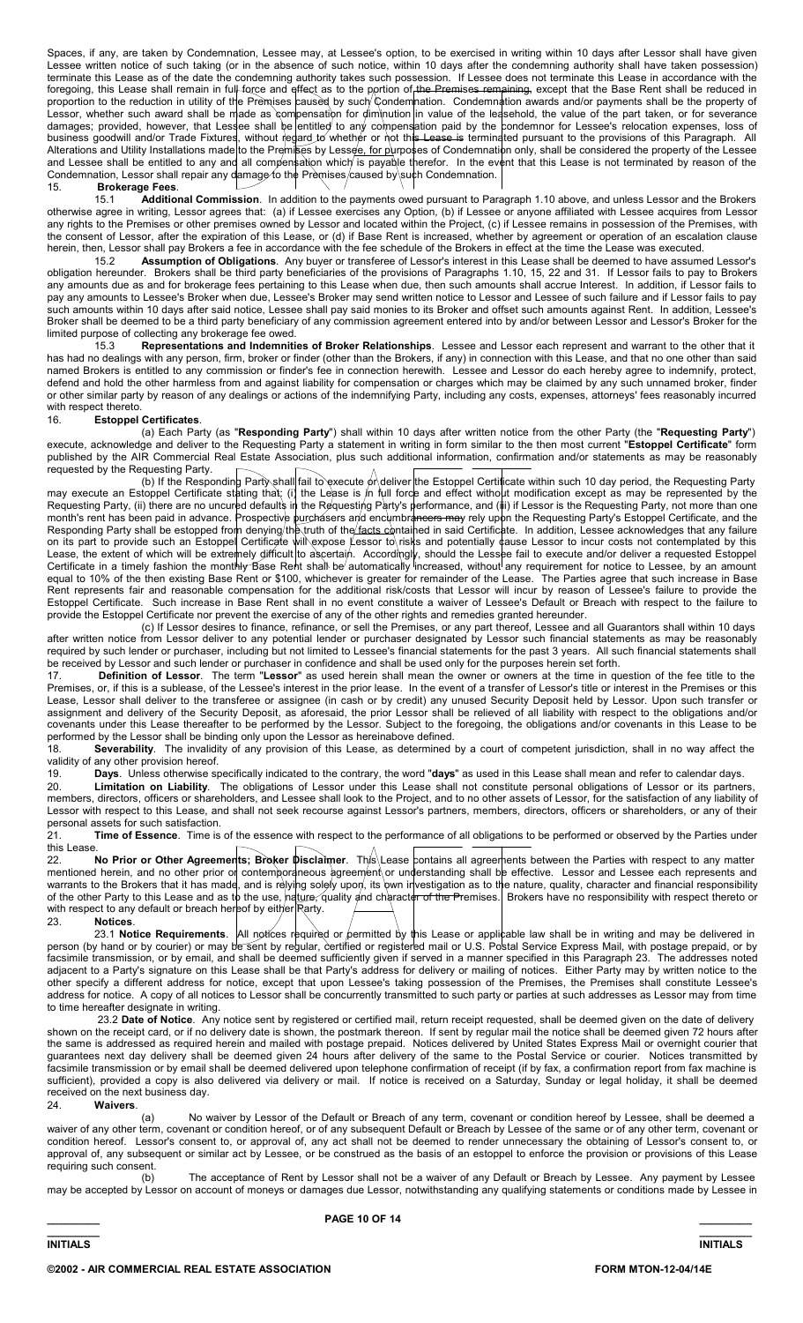Spaces, if any, are taken by Condemnation, Lessee may, at Lessee's option, to be exercised in writing within 10 days after Lessor shall have given Lessee written notice of such taking (or in the absence of such notice, within 10 days after the condemning authority shall have taken possession) terminate this Lease as of the date the condemning authority takes such possession. If Lessee does not terminate this Lease in accordance with the foregoing, this Lease shall remain in full force and effect as to the portion of the Premises remaining, except that the Base Rent shall be reduced in proportion to the reduction in utility of the Premises caused by such Condemnation. Condemnation awards and/or payments shall be the property of Lessor, whether such award shall be made as compensation for diminution in value of the leasehold, the value of the part taken, or for severance damages; provided, however, that Lessee shall be entitled to any compensation paid by the condemnor for Lessee's relocation expenses, loss of business goodwill and/or Trade Fixtures, without regard to whether or not this Lease is terminated pursuant to the provisions of this Paragraph. All Alterations and Utility Installations made to the Premises by Lessee, for purposes of Condemnation only, shall be considered the property of the Lessee and Lessee shall be entitled to any and all compensation which is payable therefor. In the event that this Lease is not terminated by reason of the Condemnation, Lessor shall repair any damage∕ to the Prèmises caused by such Condemnation.

#### 15. **Brokerage Fees**.

 15.1 **Additional Commission**. In addition to the payments owed pursuant to Paragraph 1.10 above, and unless Lessor and the Brokers otherwise agree in writing, Lessor agrees that: (a) if Lessee exercises any Option, (b) if Lessee or anyone affiliated with Lessee acquires from Lessor any rights to the Premises or other premises owned by Lessor and located within the Project, (c) if Lessee remains in possession of the Premises, with the consent of Lessor, after the expiration of this Lease, or (d) if Base Rent is increased, whether by agreement or operation of an escalation clause herein, then, Lessor shall pay Brokers a fee in accordance with the fee schedule of the Brokers in effect at the time the Lease was executed.

 15.2 **Assumption of Obligations**. Any buyer or transferee of Lessor's interest in this Lease shall be deemed to have assumed Lessor's obligation hereunder. Brokers shall be third party beneficiaries of the provisions of Paragraphs 1.10, 15, 22 and 31. If Lessor fails to pay to Brokers any amounts due as and for brokerage fees pertaining to this Lease when due, then such amounts shall accrue Interest. In addition, if Lessor fails to pay any amounts to Lessee's Broker when due, Lessee's Broker may send written notice to Lessor and Lessee of such failure and if Lessor fails to pay such amounts within 10 days after said notice, Lessee shall pay said monies to its Broker and offset such amounts against Rent. In addition, Lessee's Broker shall be deemed to be a third party beneficiary of any commission agreement entered into by and/or between Lessor and Lessor's Broker for the limited purpose of collecting any brokerage fee owed.

 15.3 **Representations and Indemnities of Broker Relationships**. Lessee and Lessor each represent and warrant to the other that it has had no dealings with any person, firm, broker or finder (other than the Brokers, if any) in connection with this Lease, and that no one other than said named Brokers is entitled to any commission or finder's fee in connection herewith. Lessee and Lessor do each hereby agree to indemnify, protect, defend and hold the other harmless from and against liability for compensation or charges which may be claimed by any such unnamed broker, finder or other similar party by reason of any dealings or actions of the indemnifying Party, including any costs, expenses, attorneys' fees reasonably incurred with respect thereto.

# 16. **Estoppel Certificates**.

 (a) Each Party (as "**Responding Party**") shall within 10 days after written notice from the other Party (the "**Requesting Party**") execute, acknowledge and deliver to the Requesting Party a statement in writing in form similar to the then most current "**Estoppel Certificate**" form published by the AIR Commercial Real Estate Association, plus such additional information, confirmation and/or statements as may be reasonably requested by the Requesting Party.

(b) If the Responding Party∖shall fail to`execute ør∖deliver the Estoppel Certificate within such 10 day period, the Requesting Party may execute an Estoppel Certificate stating that; (i) the Lease is in full forde and effect without modification except as may be represented by the Requesting Party, (ii) there are no uncured defaults in the Requesting Party's performance, and (iii) if Lessor is the Requesting Party, not more than one month's rent has been paid in advance. Prospective purchásers and encumbrancers may rely upon the Requesting Party's Estoppel Certificate, and the Responding Party shall be estopped from denying/the truth of the facts contained in said Certificate. In addition, Lessee acknowledges that any failure on its part to provide such an Estoppel Certificate will\expose Lessor to∖risks and potentially ¢ause Lessor to incur costs not contemplated by this Lease, the extent of which will be extremely difficult to ascertain. Accordingly, should the Lessee fail to execute and/or deliver a requested Estoppel Certificate in a timely fashion the monthly Base Reht shall be automatically increased, without any requirement for notice to Lessee, by an amount equal to 10% of the then existing Base Rent or \$100, whichever is greater for remainder of the Lease. The Parties agree that such increase in Base Rent represents fair and reasonable compensation for the additional risk/costs that Lessor will incur by reason of Lessee's failure to provide the Estoppel Certificate. Such increase in Base Rent shall in no event constitute a waiver of Lessee's Default or Breach with respect to the failure to provide the Estoppel Certificate nor prevent the exercise of any of the other rights and remedies granted hereunder.

 (c) If Lessor desires to finance, refinance, or sell the Premises, or any part thereof, Lessee and all Guarantors shall within 10 days after written notice from Lessor deliver to any potential lender or purchaser designated by Lessor such financial statements as may be reasonably required by such lender or purchaser, including but not limited to Lessee's financial statements for the past 3 years. All such financial statements shall be received by Lessor and such lender or purchaser in confidence and shall be used only for the purposes herein set forth.

17. **Definition of Lessor**. The term "**Lessor**" as used herein shall mean the owner or owners at the time in question of the fee title to the Premises, or, if this is a sublease, of the Lessee's interest in the prior lease. In the event of a transfer of Lessor's title or interest in the Premises or this Lease, Lessor shall deliver to the transferee or assignee (in cash or by credit) any unused Security Deposit held by Lessor. Upon such transfer or assignment and delivery of the Security Deposit, as aforesaid, the prior Lessor shall be relieved of all liability with respect to the obligations and/or covenants under this Lease thereafter to be performed by the Lessor. Subject to the foregoing, the obligations and/or covenants in this Lease to be performed by the Lessor shall be binding only upon the Lessor as hereinabove defined.

18. **Severability**. The invalidity of any provision of this Lease, as determined by a court of competent jurisdiction, shall in no way affect the validity of any other provision hereof.

19. **Days**. Unless otherwise specifically indicated to the contrary, the word "**days**" as used in this Lease shall mean and refer to calendar days.

20. **Limitation on Liability**. The obligations of Lessor under this Lease shall not constitute personal obligations of Lessor or its partners, members, directors, officers or shareholders, and Lessee shall look to the Project, and to no other assets of Lessor, for the satisfaction of any liability of Lessor with respect to this Lease, and shall not seek recourse against Lessor's partners, members, directors, officers or shareholders, or any of their personal assets for such satisfaction.

21. **Time of Essence**. Time is of the essence with respect to the performance of all obligations to be performed or observed by the Parties under this Lease.

22. **No Prior or Other Agreements; Broker Disclaimer**. This Lease contains all agreements between the Parties with respect to any matter mentioned herein, and no other prior or contemporaneous agreement or understanding shall be effective. Lessor and Lessee each represents and warrants to the Brokers that it has made, and is relying solely upon, its own investigation as to the nature, quality, character and financial responsibility of the other Party to this Lease and as to the use, nature, quality and character of the Premises. Brokers have no responsibility with respect thereto or with respect to any default or breach hereof by either Rarty.

23. **Notices**.

 23.1 **Notice Requirements**. All notices required or permitted by this Lease or applicable law shall be in writing and may be delivered in person (by hand or by courier) or may be sent by regular, certified or registered mail or U.S. Postal Service Express Mail, with postage prepaid, or by facsimile transmission, or by email, and shall be deemed sufficiently given if served in a manner specified in this Paragraph 23. The addresses noted adjacent to a Party's signature on this Lease shall be that Party's address for delivery or mailing of notices. Either Party may by written notice to the other specify a different address for notice, except that upon Lessee's taking possession of the Premises, the Premises shall constitute Lessee's address for notice. A copy of all notices to Lessor shall be concurrently transmitted to such party or parties at such addresses as Lessor may from time to time hereafter designate in writing.

 23.2 **Date of Notice**. Any notice sent by registered or certified mail, return receipt requested, shall be deemed given on the date of delivery shown on the receipt card, or if no delivery date is shown, the postmark thereon. If sent by regular mail the notice shall be deemed given 72 hours after the same is addressed as required herein and mailed with postage prepaid. Notices delivered by United States Express Mail or overnight courier that guarantees next day delivery shall be deemed given 24 hours after delivery of the same to the Postal Service or courier. Notices transmitted by facsimile transmission or by email shall be deemed delivered upon telephone confirmation of receipt (if by fax, a confirmation report from fax machine is sufficient), provided a copy is also delivered via delivery or mail. If notice is received on a Saturday, Sunday or legal holiday, it shall be deemed received on the next business day. 24. **Waivers**.

 (a) No waiver by Lessor of the Default or Breach of any term, covenant or condition hereof by Lessee, shall be deemed a waiver of any other term, covenant or condition hereof, or of any subsequent Default or Breach by Lessee of the same or of any other term, covenant or condition hereof. Lessor's consent to, or approval of, any act shall not be deemed to render unnecessary the obtaining of Lessor's consent to, or approval of, any subsequent or similar act by Lessee, or be construed as the basis of an estoppel to enforce the provision or provisions of this Lease requiring such consent.

 (b) The acceptance of Rent by Lessor shall not be a waiver of any Default or Breach by Lessee. Any payment by Lessee may be accepted by Lessor on account of moneys or damages due Lessor, notwithstanding any qualifying statements or conditions made by Lessee in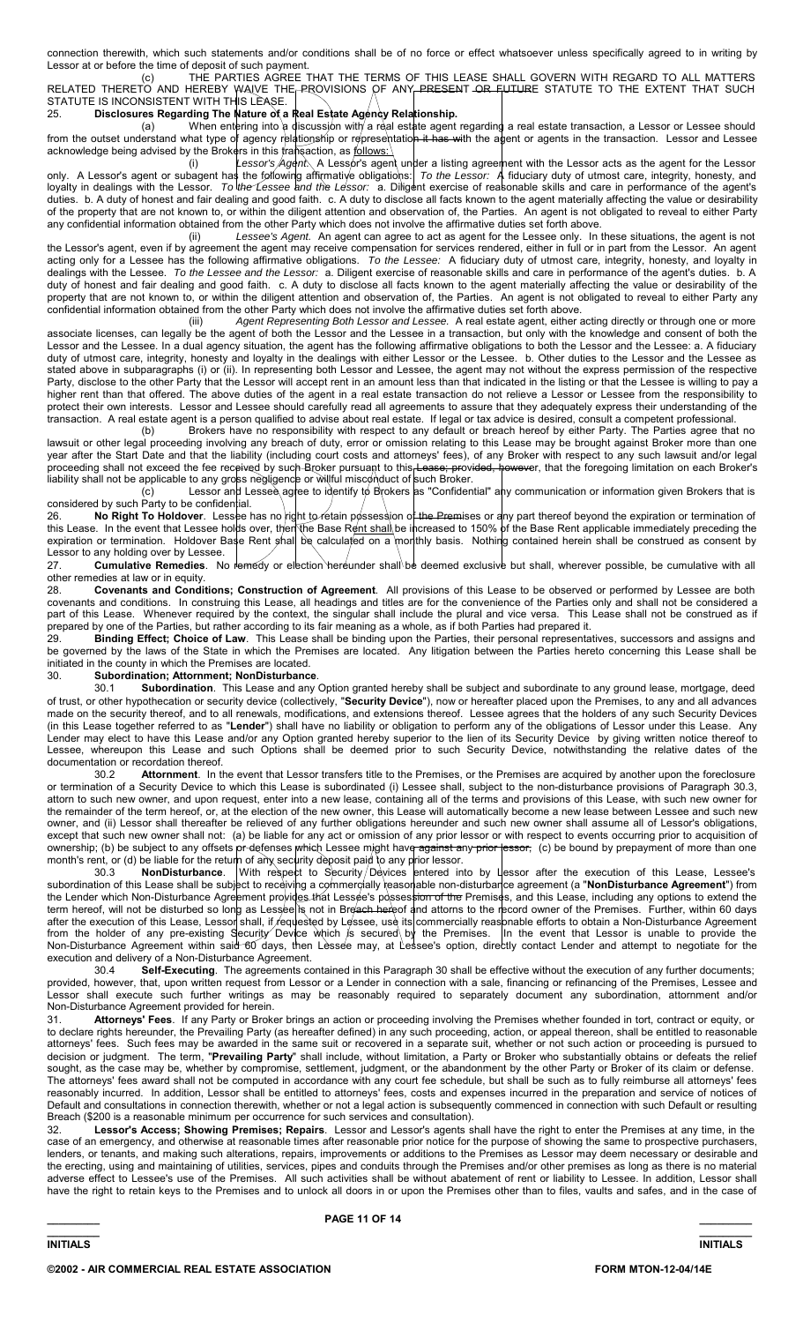connection therewith, which such statements and/or conditions shall be of no force or effect whatsoever unless specifically agreed to in writing by Lessor at or before the time of deposit of such payment.

 (c) THE PARTIES AGREE THAT THE TERMS OF THIS LEASE SHALL GOVERN WITH REGARD TO ALL MATTERS RELATED THERETO AND HEREBY WALVE THE<del>, P</del>ROVISIONS OF ANY<del>, PRESEN</del>T <del>OR FUTUR</del>E STATUTE TO THE EXTENT THAT SUCH STATUTE IS INCONSISTENT WITH THIS LEASE.

# 25. **Disclosures Regarding The Nature of a Real Estate Agency Relationship.**

 (a) When entering into a discussion with a real estate agent regarding a real estate transaction, a Lessor or Lessee should from the outset understand what type of agency relationship or representation it has with the agent or agents in the transaction. Lessor and Lessee acknowledge being advised by the Brokers in this transaction, as follows:

 (i) *Lessor's Agent.* A Lessor's agent under a listing agreement with the Lessor acts as the agent for the Lessor only. A Lessor's agent or subagent has the following affirmative obligations: *To the Lessor:* A fiduciary duty of utmost care, integrity, honesty, and loyalty in dealings with the Lessor. *To the Lessee and the Lessor:* a. Diligent exercise of reasonable skills and care in performance of the agent's duties. b. A duty of honest and fair dealing and good faith. c. A duty to disclose all facts known to the agent materially affecting the value or desirability of the property that are not known to, or within the diligent attention and observation of, the Parties. An agent is not obligated to reveal to either Party any confidential information obtained from the other Party which does not involve the affirmative duties set forth above.

 (ii) *Lessee's Agent.* An agent can agree to act as agent for the Lessee only. In these situations, the agent is not the Lessor's agent, even if by agreement the agent may receive compensation for services rendered, either in full or in part from the Lessor. An agent acting only for a Lessee has the following affirmative obligations. *To the Lessee:* A fiduciary duty of utmost care, integrity, honesty, and loyalty in dealings with the Lessee. *To the Lessee and the Lessor:* a. Diligent exercise of reasonable skills and care in performance of the agent's duties. b. A duty of honest and fair dealing and good faith. c. A duty to disclose all facts known to the agent materially affecting the value or desirability of the property that are not known to, or within the diligent attention and observation of, the Parties. An agent is not obligated to reveal to either Party any confidential information obtained from the other Party which does not involve the affirmative duties set forth above.

 (iii) *Agent Representing Both Lessor and Lessee.* A real estate agent, either acting directly or through one or more associate licenses, can legally be the agent of both the Lessor and the Lessee in a transaction, but only with the knowledge and consent of both the Lessor and the Lessee. In a dual agency situation, the agent has the following affirmative obligations to both the Lessor and the Lessee: a. A fiduciary duty of utmost care, integrity, honesty and loyalty in the dealings with either Lessor or the Lessee. b. Other duties to the Lessor and the Lessee as stated above in subparagraphs (i) or (ii). In representing both Lessor and Lessee, the agent may not without the express permission of the respective Party, disclose to the other Party that the Lessor will accept rent in an amount less than that indicated in the listing or that the Lessee is willing to pay a higher rent than that offered. The above duties of the agent in a real estate transaction do not relieve a Lessor or Lessee from the responsibility to protect their own interests. Lessor and Lessee should carefully read all agreements to assure that they adequately express their understanding of the transaction. A real estate agent is a person qualified to advise about real estate. If legal or tax advice is desired, consult a competent professional.

 (b) Brokers have no responsibility with respect to any default or breach hereof by either Party. The Parties agree that no lawsuit or other legal proceeding involving any breach of duty, error or omission relating to this Lease may be brought against Broker more than one year after the Start Date and that the liability (including court costs and attorneys' fees), of any Broker with respect to any such lawsuit and/or legal proceeding shall not exceed the fee received by such Broker pursuant to this Lease; provided, however, that the foregoing limitation on each Broker's liability shall not be applicable to any gross negligence or willful misconduct of such Broker.

(c) Lessor and Lessee agree to identify to Brokers as "Confidential" any communication or information given Brokers that is considered by such Party to be confidential.

26. **No Right To Holdover**. Lessee has no right to retain possession of the Premises or any part thereof beyond the expiration or termination of this Lease. In the event that Lessee holds over, th⁄en্सিe Base Rent shall be increased to 150% of the Base Rent applicable immediately preceding the expiration or termination. Holdover Base Rent shall be calculated on a monthly basis. Nothing contained herein shall be construed as consent by Lessor to any holding over by Lessee.<br>27 **Cumulative Remedies** No

27. **Cumulative Remedies**. No remedy or election hereunder shall be deemed exclusive but shall, wherever possible, be cumulative with all other remedies at law or in equity.

28. **Covenants and Conditions; Construction of Agreement**. All provisions of this Lease to be observed or performed by Lessee are both covenants and conditions. In construing this Lease, all headings and titles are for the convenience of the Parties only and shall not be considered a part of this Lease. Whenever required by the context, the singular shall include the plural and vice versa. This Lease shall not be construed as if prepared by one of the Parties, but rather according to its fair meaning as a whole, as if both Parties had prepared it.

29. **Binding Effect; Choice of Law**. This Lease shall be binding upon the Parties, their personal representatives, successors and assigns and be governed by the laws of the State in which the Premises are located. Any litigation between the Parties hereto concerning this Lease shall be initiated in the county in which the Premises are located.

30. **Subordination; Attornment; NonDisturbance**.

 30.1 **Subordination**. This Lease and any Option granted hereby shall be subject and subordinate to any ground lease, mortgage, deed of trust, or other hypothecation or security device (collectively, "**Security Device**"), now or hereafter placed upon the Premises, to any and all advances made on the security thereof, and to all renewals, modifications, and extensions thereof. Lessee agrees that the holders of any such Security Devices (in this Lease together referred to as "**Lender**") shall have no liability or obligation to perform any of the obligations of Lessor under this Lease. Any Lender may elect to have this Lease and/or any Option granted hereby superior to the lien of its Security Device by giving written notice thereof to Lessee, whereupon this Lease and such Options shall be deemed prior to such Security Device, notwithstanding the relative dates of the documentation or recordation thereof.

 30.2 **Attornment**. In the event that Lessor transfers title to the Premises, or the Premises are acquired by another upon the foreclosure or termination of a Security Device to which this Lease is subordinated (i) Lessee shall, subject to the non-disturbance provisions of Paragraph 30.3, attorn to such new owner, and upon request, enter into a new lease, containing all of the terms and provisions of this Lease, with such new owner for the remainder of the term hereof, or, at the election of the new owner, this Lease will automatically become a new lease between Lessee and such new owner, and (ii) Lessor shall thereafter be relieved of any further obligations hereunder and such new owner shall assume all of Lessor's obligations, except that such new owner shall not: (a) be liable for any act or omission of any prior lessor or with respect to events occurring prior to acquisition of ownership; (b) be subject to any offsets pr-defenses which Lessee might have against any prior lessor, (c) be bound by prepayment of more than one month's rent, or (d) be liable for the return of any security deposit paid to any prior lessor.

 30.3 **NonDisturbance**. With respect to Security Devices entered into by Lessor after the execution of this Lease, Lessee's subordination of this Lease shall be subject to receiving a commercially reasonable non-disturbance agreement (a "**NonDisturbance Agreement**") from the Lender which Non-Disturbance Agreement provides that Lessee's possession of the Premises, and this Lease, including any options to extend the term hereof, will not be disturbed so long as Lessee is not in Breach hereof and attorns to the record owner of the Premises. Further, within 60 days after the execution of this Lease, Lessor shall, if ⁄requested by Lessee, use its commercially reasonable efforts to obtain a Non-Disturbance Agreement from the holder of any pre-existing Security Device which is secured by the Premises. In the event that Lessor is unable to provide the Non-Disturbance Agreement within said 60 days, then Lèssee may, at Lessee's option, directly contact Lender and attempt to negotiate for the execution and delivery of a Non-Disturbance Agreement.

 30.4 **Self-Executing**. The agreements contained in this Paragraph 30 shall be effective without the execution of any further documents; provided, however, that, upon written request from Lessor or a Lender in connection with a sale, financing or refinancing of the Premises, Lessee and Lessor shall execute such further writings as may be reasonably required to separately document any subordination, attornment and/or Non-Disturbance Agreement provided for herein.

31. **Attorneys' Fees**. If any Party or Broker brings an action or proceeding involving the Premises whether founded in tort, contract or equity, or to declare rights hereunder, the Prevailing Party (as hereafter defined) in any such proceeding, action, or appeal thereon, shall be entitled to reasonable attorneys' fees. Such fees may be awarded in the same suit or recovered in a separate suit, whether or not such action or proceeding is pursued to decision or judgment. The term, "**Prevailing Party**" shall include, without limitation, a Party or Broker who substantially obtains or defeats the relief sought, as the case may be, whether by compromise, settlement, judgment, or the abandonment by the other Party or Broker of its claim or defense. The attorneys' fees award shall not be computed in accordance with any court fee schedule, but shall be such as to fully reimburse all attorneys' fees reasonably incurred. In addition, Lessor shall be entitled to attorneys' fees, costs and expenses incurred in the preparation and service of notices of Default and consultations in connection therewith, whether or not a legal action is subsequently commenced in connection with such Default or resulting Breach (\$200 is a reasonable minimum per occurrence for such services and consultation).

32. **Lessor's Access; Showing Premises; Repairs**. Lessor and Lessor's agents shall have the right to enter the Premises at any time, in the case of an emergency, and otherwise at reasonable times after reasonable prior notice for the purpose of showing the same to prospective purchasers, lenders, or tenants, and making such alterations, repairs, improvements or additions to the Premises as Lessor may deem necessary or desirable and the erecting, using and maintaining of utilities, services, pipes and conduits through the Premises and/or other premises as long as there is no material adverse effect to Lessee's use of the Premises. All such activities shall be without abatement of rent or liability to Lessee. In addition, Lessor shall have the right to retain keys to the Premises and to unlock all doors in or upon the Premises other than to files, vaults and safes, and in the case of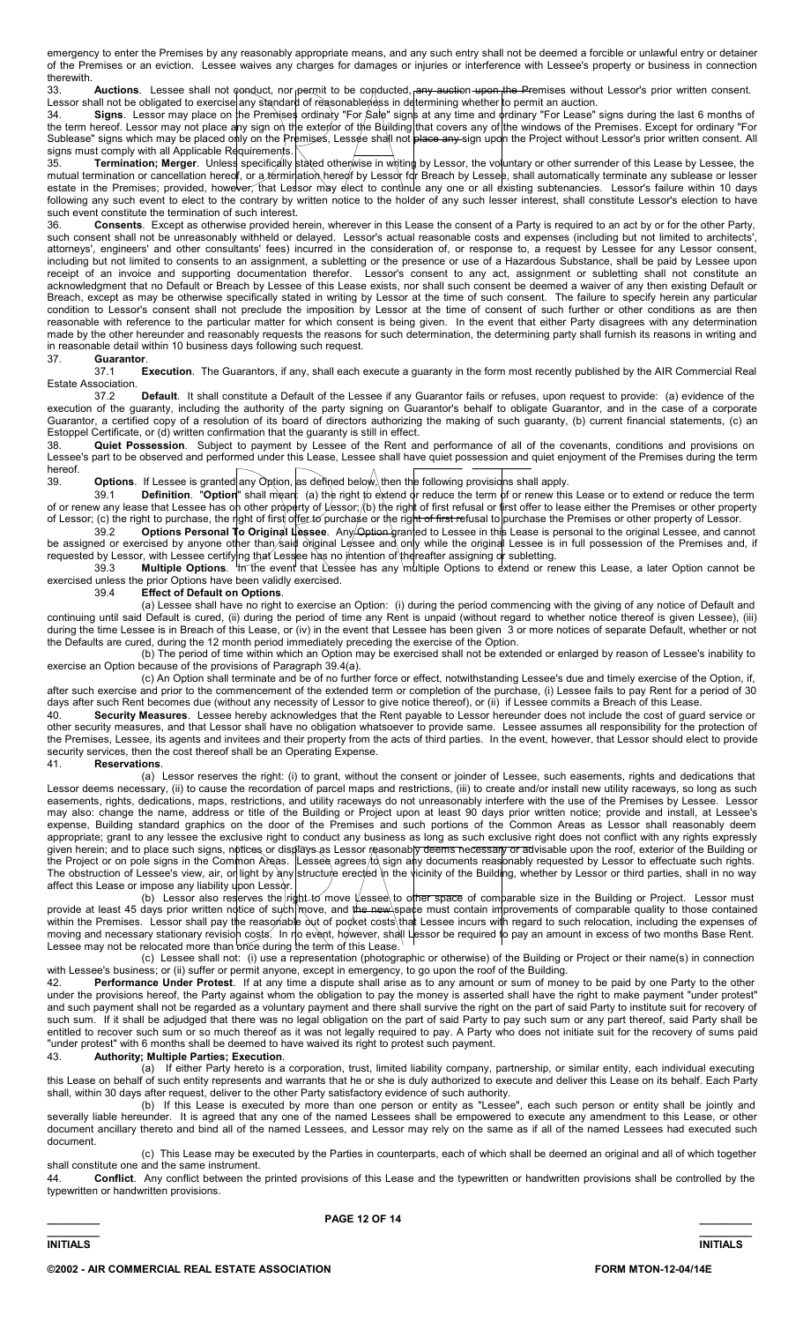emergency to enter the Premises by any reasonably appropriate means, and any such entry shall not be deemed a forcible or unlawful entry or detainer of the Premises or an eviction. Lessee waives any charges for damages or injuries or interference with Lessee's property or business in connection therewith.

33. **Auctions**. Lessee shall not conduct, nor permit to be conducted, any auction upon the Premises without Lessor's prior written consent. Lessor shall not be obligated to exercise any standard of reasonableness in determining whether to permit an auction.

34. **Signs**. Lessor may place on the Premises ordinary "For Sale" signs at any time and ordinary "For Lease" signs during the last 6 months of the term hereof. Lessor may not place any sign on the exterior of the Building that covers any of the windows of the Premises. Except for ordinary "For Sublease" signs which may be placed only on the Premises, Lessee shall not <del>place any s</del>ign upon the Project without Lessor's prior written consent. All signs must comply with all Applicable Requirements.

35. **Termination; Merger**. Unless specifically stated otherwise in writing by Lessor, the voluntary or other surrender of this Lease by Lessee, the mutual termination or cancellation hereof, or a termination hereof by Lessor for Breach by Lessee, shall automatically terminate any sublease or lesser estate in the Premises; provided, however, that Lessor may elect to continue any one or all existing subtenancies. Lessor's failure within 10 days following any such event to elect to the contrary by written notice to the holder of any such lesser interest, shall constitute Lessor's election to have such event constitute the termination of such interest.<br>36. **Consents**. Except as otherwise provided h

Consents. Except as otherwise provided herein, wherever in this Lease the consent of a Party is required to an act by or for the other Party, such consent shall not be unreasonably withheld or delayed. Lessor's actual reasonable costs and expenses (including but not limited to architects', attorneys', engineers' and other consultants' fees) incurred in the consideration of, or response to, a request by Lessee for any Lessor consent, including but not limited to consents to an assignment, a subletting or the presence or use of a Hazardous Substance, shall be paid by Lessee upon receipt of an invoice and supporting documentation therefor. Lessor's consent to any act, assignment or subletting shall not constitute an acknowledgment that no Default or Breach by Lessee of this Lease exists, nor shall such consent be deemed a waiver of any then existing Default or Breach, except as may be otherwise specifically stated in writing by Lessor at the time of such consent. The failure to specify herein any particular condition to Lessor's consent shall not preclude the imposition by Lessor at the time of consent of such further or other conditions as are then reasonable with reference to the particular matter for which consent is being given. In the event that either Party disagrees with any determination made by the other hereunder and reasonably requests the reasons for such determination, the determining party shall furnish its reasons in writing and in reasonable detail within 10 business days following such request.

37. **Guarantor**. **Execution**. The Guarantors, if any, shall each execute a guaranty in the form most recently published by the AIR Commercial Real Estate Association.

 37.2 **Default**. It shall constitute a Default of the Lessee if any Guarantor fails or refuses, upon request to provide: (a) evidence of the execution of the guaranty, including the authority of the party signing on Guarantor's behalf to obligate Guarantor, and in the case of a corporate Guarantor, a certified copy of a resolution of its board of directors authorizing the making of such guaranty, (b) current financial statements, (c) an Estoppel Certificate, or (d) written confirmation that the guaranty is still in effect.

38. **Quiet Possession**. Subject to payment by Lessee of the Rent and performance of all of the covenants, conditions and provisions on Lessee's part to be observed and performed under this Lease, Lessee shall have quiet possession and quiet enjoyment of the Premises during the term hereof.

39. **Options**. If Lessee is granted any Option, as defined below, then the following provisions shall apply.

 39.1 **Definition**. "**Option**" shall mean: (a) the right to extend or reduce the term of or renew this Lease or to extend or reduce the term of or renew any lease that Lessee has on other property of Lessor; (b) the right of first refusal or first offer to lease either the Premises or other property of Lessor; (c) the right to purchase, the right of first o<u>ffer to purchase or the right of first refusal to purchase the Premises or other property of Lessor.</u>

 39.2 **Options Personal To Original Lessee**. Any Option granted to Lessee in this Lease is personal to the original Lessee, and cannot be assigned or exercised by anyone other than/said original Lessee and only while the original Lessee is in full possession of the Premises and, if requested by Lessor, with Lessee certifying that Lessee has no intention of thereafter assigning or subletting.

 39.3 **Multiple Options**. In the event that Lessee has any multiple Options to extend or renew this Lease, a later Option cannot be exercised unless the prior Options have been validly exercised.

39.4 **Effect of Default on Options**.

 (a) Lessee shall have no right to exercise an Option: (i) during the period commencing with the giving of any notice of Default and continuing until said Default is cured, (ii) during the period of time any Rent is unpaid (without regard to whether notice thereof is given Lessee), (iii) during the time Lessee is in Breach of this Lease, or (iv) in the event that Lessee has been given 3 or more notices of separate Default, whether or not the Defaults are cured, during the 12 month period immediately preceding the exercise of the Option.

 (b) The period of time within which an Option may be exercised shall not be extended or enlarged by reason of Lessee's inability to exercise an Option because of the provisions of Paragraph 39.4(a).

 (c) An Option shall terminate and be of no further force or effect, notwithstanding Lessee's due and timely exercise of the Option, if, after such exercise and prior to the commencement of the extended term or completion of the purchase, (i) Lessee fails to pay Rent for a period of 30 days after such Rent becomes due (without any necessity of Lessor to give notice thereof), or (ii) if Lessee commits a Breach of this Lease.

40. **Security Measures**. Lessee hereby acknowledges that the Rent payable to Lessor hereunder does not include the cost of guard service or other security measures, and that Lessor shall have no obligation whatsoever to provide same. Lessee assumes all responsibility for the protection of the Premises, Lessee, its agents and invitees and their property from the acts of third parties. In the event, however, that Lessor should elect to provide security services, then the cost thereof shall be an Operating Expense.<br>41. Reservations.

#### 41. **Reservations**.

 (a) Lessor reserves the right: (i) to grant, without the consent or joinder of Lessee, such easements, rights and dedications that Lessor deems necessary, (ii) to cause the recordation of parcel maps and restrictions, (iii) to create and/or install new utility raceways, so long as such easements, rights, dedications, maps, restrictions, and utility raceways do not unreasonably interfere with the use of the Premises by Lessee. Lessor may also: change the name, address or title of the Building or Project upon at least 90 days prior written notice; provide and install, at Lessee's expense, Building standard graphics on the door of the Premises and such portions of the Common Areas as Lessor shall reasonably deem appropriate; grant to any lessee the exclusive right to conduct any business as long as such exclusive right does not conflict with any rights expressly given herein; and to place such signs, notices or displays as Lessor reasonably deems necessary or advisable upon the roof, exterior of the Building or the Project or on pole signs in the Common Areas. Lessee agrees to sign any documents reasonably requested by Lessor to effectuate such rights. The obstruction of Lessee's view, air, or∣light by àny∣structure erected ∖n the γicinity of the Building, whether by Lessor or third parties, shall in no way affect this Lease or impose any liability upon Lessor

(b) Lessor also reserves the right to move Lessee to other space of comparable size in the Building or Project. Lessor must provide at least 45 days prior written notice of such move, and the new space must contain improvements of comparable quality to those contained within the Premises. Lessor shall pay the reasonable out of pocket costs that Lessee incurs with regard to such relocation, including the expenses of moving and necessary stationary revision costs. In no event, however, shall Lessor be required to pay an amount in excess of two months Base Rent. Lessee may not be relocated more than once during the term of this Lease.

 (c) Lessee shall not: (i) use a representation (photographic or otherwise) of the Building or Project or their name(s) in connection with Lessee's business; or (ii) suffer or permit anyone, except in emergency, to go upon the roof of the Building.

42. **Performance Under Protest**. If at any time a dispute shall arise as to any amount or sum of money to be paid by one Party to the other under the provisions hereof, the Party against whom the obligation to pay the money is asserted shall have the right to make payment "under protest" and such payment shall not be regarded as a voluntary payment and there shall survive the right on the part of said Party to institute suit for recovery of such sum. If it shall be adjudged that there was no legal obligation on the part of said Party to pay such sum or any part thereof, said Party shall be entitled to recover such sum or so much thereof as it was not legally required to pay. A Party who does not initiate suit for the recovery of sums paid "under protest" with 6 months shall be deemed to have waived its right to protest such payment.

#### 43. **Authority; Multiple Parties; Execution**.

 (a) If either Party hereto is a corporation, trust, limited liability company, partnership, or similar entity, each individual executing this Lease on behalf of such entity represents and warrants that he or she is duly authorized to execute and deliver this Lease on its behalf. Each Party shall, within 30 days after request, deliver to the other Party satisfactory evidence of such authority.

 (b) If this Lease is executed by more than one person or entity as "Lessee", each such person or entity shall be jointly and severally liable hereunder. It is agreed that any one of the named Lessees shall be empowered to execute any amendment to this Lease, or other document ancillary thereto and bind all of the named Lessees, and Lessor may rely on the same as if all of the named Lessees had executed such document.

 (c) This Lease may be executed by the Parties in counterparts, each of which shall be deemed an original and all of which together shall constitute one and the same instrument.

44. **Conflict**. Any conflict between the printed provisions of this Lease and the typewritten or handwritten provisions shall be controlled by the typewritten or handwritten provisions.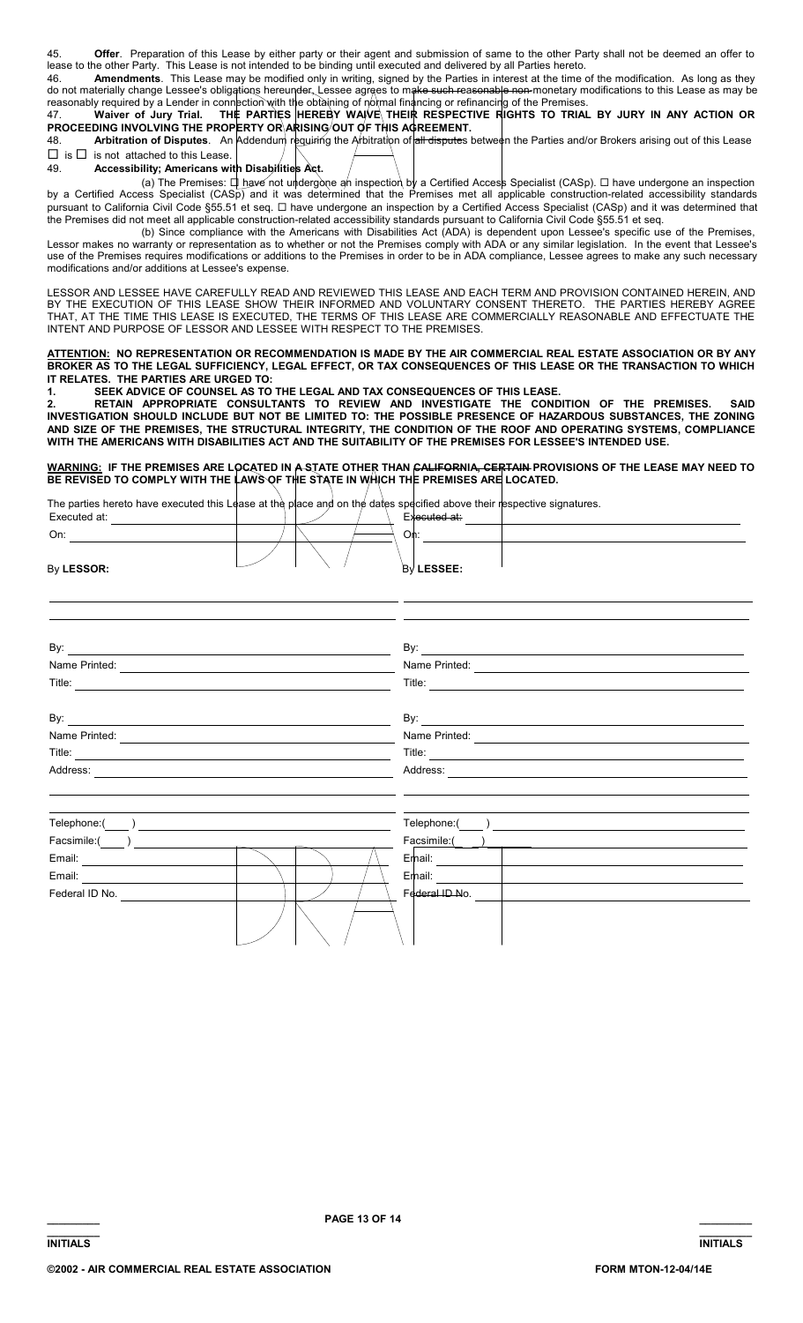45. **Offer**. Preparation of this Lease by either party or their agent and submission of same to the other Party shall not be deemed an offer to lease to the other Party. This Lease is not intended to be binding until executed and delivered by all Parties hereto.<br>An **Amendments** This Lease may be modified only in writing signed by the Parties in interest at the tim

46. **Amendments**. This Lease may be modified only in writing, signed by the Parties in interest at the time of the modification. As long as they do not materially change Lessee's obligations hereunder, Lessee agrees to make such reasonable non-monetary modifications to this Lease as may be reasonably required by a Lender in connection with the obtaining of normal financing or refinancing of the Premises.

47. **Waiver of Jury Trial. THE PARTIES HEREBY WAIVE THEIR RESPECTIVE RIGHTS TO TRIAL BY JURY IN ANY ACTION OR PROCEEDING INVOLVING THE PROPERTY OR ARISING OUT OF THIS AGREEMENT.**

48. **Arbitration of Disputes**. An Addendum requiring the Arbitration of all disputes between the Parties and/or Brokers arising out of this Lease

### $\Box$  is  $\Box$  is not attached to this Lease.<br>49 **Accessibility: Americans wi** Accessibility; Americans with Disabilities Act.

(a) The Premises: ロ have not undergone an inspection by a Certified Access Specialist (CASp). ロ have undergone an inspection by a Certified Access Specialist (CASp) and it was determined that the Premises met all applicable construction-related accessibility standards pursuant to California Civil Code §55.51 et seq. have undergone an inspection by a Certified Access Specialist (CASp) and it was determined that the Premises did not meet all applicable construction-related accessibility standards pursuant to California Civil Code §55.51 et seq.

 (b) Since compliance with the Americans with Disabilities Act (ADA) is dependent upon Lessee's specific use of the Premises, Lessor makes no warranty or representation as to whether or not the Premises comply with ADA or any similar legislation. In the event that Lessee's use of the Premises requires modifications or additions to the Premises in order to be in ADA compliance, Lessee agrees to make any such necessary modifications and/or additions at Lessee's expense.

LESSOR AND LESSEE HAVE CAREFULLY READ AND REVIEWED THIS LEASE AND EACH TERM AND PROVISION CONTAINED HEREIN, AND BY THE EXECUTION OF THIS LEASE SHOW THEIR INFORMED AND VOLUNTARY CONSENT THERETO. THE PARTIES HEREBY AGREE THAT, AT THE TIME THIS LEASE IS EXECUTED, THE TERMS OF THIS LEASE ARE COMMERCIALLY REASONABLE AND EFFECTUATE THE INTENT AND PURPOSE OF LESSOR AND LESSEE WITH RESPECT TO THE PREMISES.

**ATTENTION: NO REPRESENTATION OR RECOMMENDATION IS MADE BY THE AIR COMMERCIAL REAL ESTATE ASSOCIATION OR BY ANY BROKER AS TO THE LEGAL SUFFICIENCY, LEGAL EFFECT, OR TAX CONSEQUENCES OF THIS LEASE OR THE TRANSACTION TO WHICH IT RELATES. THE PARTIES ARE URGED TO:**

**1. SEEK ADVICE OF COUNSEL AS TO THE LEGAL AND TAX CONSEQUENCES OF THIS LEASE.** 

**2. RETAIN APPROPRIATE CONSULTANTS TO REVIEW AND INVESTIGATE THE CONDITION OF THE PREMISES. SAID INVESTIGATION SHOULD INCLUDE BUT NOT BE LIMITED TO: THE POSSIBLE PRESENCE OF HAZARDOUS SUBSTANCES, THE ZONING AND SIZE OF THE PREMISES, THE STRUCTURAL INTEGRITY, THE CONDITION OF THE ROOF AND OPERATING SYSTEMS, COMPLIANCE WITH THE AMERICANS WITH DISABILITIES ACT AND THE SUITABILITY OF THE PREMISES FOR LESSEE'S INTENDED USE.** 

**WARNING: IF THE PREMISES ARE LOCATED IN A STATE OTHER THAN CALIFORNIA, CERTAIN PROVISIONS OF THE LEASE MAY NEED TO BE REVISED TO COMPLY WITH THE LAWS OF THE STATE IN WHICH THE PREMISES ARE LOCATED.**

The parties hereto have executed this Lease at the place and on the dates specified above their respective signatures.

|            |                                                                                                                                                                                                                                      | Executed at:                                                                                                                                                                                                                                                                                                                                   |
|------------|--------------------------------------------------------------------------------------------------------------------------------------------------------------------------------------------------------------------------------------|------------------------------------------------------------------------------------------------------------------------------------------------------------------------------------------------------------------------------------------------------------------------------------------------------------------------------------------------|
|            | On: $\qquad \qquad$                                                                                                                                                                                                                  |                                                                                                                                                                                                                                                                                                                                                |
| By LESSOR: |                                                                                                                                                                                                                                      | By LESSEE:                                                                                                                                                                                                                                                                                                                                     |
|            |                                                                                                                                                                                                                                      |                                                                                                                                                                                                                                                                                                                                                |
|            |                                                                                                                                                                                                                                      | By: $\qquad \qquad$                                                                                                                                                                                                                                                                                                                            |
|            |                                                                                                                                                                                                                                      |                                                                                                                                                                                                                                                                                                                                                |
|            |                                                                                                                                                                                                                                      |                                                                                                                                                                                                                                                                                                                                                |
|            |                                                                                                                                                                                                                                      | By: <u>in the community of the community of the community of the community of the community of the community of the community of the community of the community of the community of the community of the community of the commun</u>                                                                                                           |
|            |                                                                                                                                                                                                                                      |                                                                                                                                                                                                                                                                                                                                                |
|            |                                                                                                                                                                                                                                      |                                                                                                                                                                                                                                                                                                                                                |
|            |                                                                                                                                                                                                                                      |                                                                                                                                                                                                                                                                                                                                                |
|            |                                                                                                                                                                                                                                      |                                                                                                                                                                                                                                                                                                                                                |
|            | Telephone: ( )                                                                                                                                                                                                                       | Telephone: ( )                                                                                                                                                                                                                                                                                                                                 |
|            | $Facsimile: (\_\_)$                                                                                                                                                                                                                  | $Facsimile.$ $\qquad \qquad$ $\qquad$ $\qquad$ $\qquad$ $\qquad$ $\qquad$ $\qquad$ $\qquad$ $\qquad$ $\qquad$ $\qquad$ $\qquad$ $\qquad$ $\qquad$ $\qquad$ $\qquad$ $\qquad$ $\qquad$ $\qquad$ $\qquad$ $\qquad$ $\qquad$ $\qquad$ $\qquad$ $\qquad$ $\qquad$ $\qquad$ $\qquad$ $\qquad$ $\qquad$ $\qquad$ $\qquad$ $\qquad$ $\qquad$ $\qquad$ |
|            |                                                                                                                                                                                                                                      | Email: $\qquad \qquad$                                                                                                                                                                                                                                                                                                                         |
|            | Email: <u>Contract Contract Contract Contract Contract Contract Contract Contract Contract Contract Contract Contract Contract Contract Contract Contract Contract Contract Contract Contract Contract Contract Contract Contrac</u> | Email: $\qquad$                                                                                                                                                                                                                                                                                                                                |
|            | Federal ID No.                                                                                                                                                                                                                       | Federal ID No.                                                                                                                                                                                                                                                                                                                                 |
|            |                                                                                                                                                                                                                                      |                                                                                                                                                                                                                                                                                                                                                |